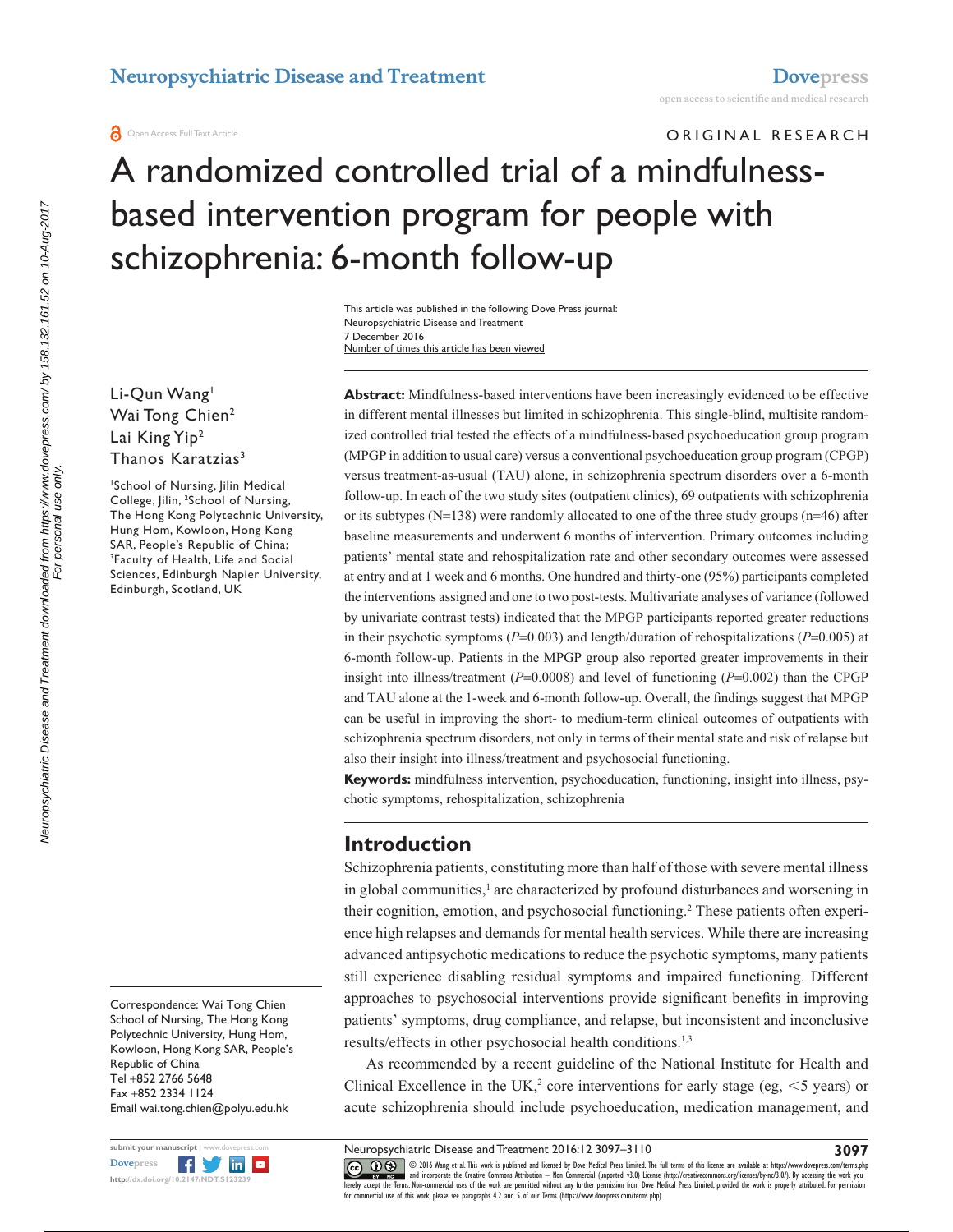# ORIGINAL RESEARCH

# A randomized controlled trial of a mindfulnessbased intervention program for people with schizophrenia: 6-month follow-up

Number of times this article has been viewed This article was published in the following Dove Press journal: Neuropsychiatric Disease and Treatment 7 December 2016

Li-Qun Wang<sup>1</sup> Wai Tong Chien<sup>2</sup> Lai King Yip<sup>2</sup> Thanos Karatzias<sup>3</sup>

1 School of Nursing, Jilin Medical College, Jilin, <sup>2</sup>School of Nursing, The Hong Kong Polytechnic University, Hung Hom, Kowloon, Hong Kong SAR, People's Republic of China; <sup>3</sup>Faculty of Health, Life and Social Sciences, Edinburgh Napier University, Edinburgh, Scotland, UK

Correspondence: Wai Tong Chien School of Nursing, The Hong Kong Polytechnic University, Hung Hom, Kowloon, Hong Kong SAR, People's Republic of China Tel +852 2766 5648 Fax +852 2334 1124 Email [wai.tong.chien@polyu.edu.hk](mailto:wai.tong.chien@polyu.edu.hk)



**Abstract:** Mindfulness-based interventions have been increasingly evidenced to be effective in different mental illnesses but limited in schizophrenia. This single-blind, multisite randomized controlled trial tested the effects of a mindfulness-based psychoeducation group program (MPGP in addition to usual care) versus a conventional psychoeducation group program (CPGP) versus treatment-as-usual (TAU) alone, in schizophrenia spectrum disorders over a 6-month follow-up. In each of the two study sites (outpatient clinics), 69 outpatients with schizophrenia or its subtypes ( $N=138$ ) were randomly allocated to one of the three study groups ( $n=46$ ) after baseline measurements and underwent 6 months of intervention. Primary outcomes including patients' mental state and rehospitalization rate and other secondary outcomes were assessed at entry and at 1 week and 6 months. One hundred and thirty-one (95%) participants completed the interventions assigned and one to two post-tests. Multivariate analyses of variance (followed by univariate contrast tests) indicated that the MPGP participants reported greater reductions in their psychotic symptoms (*P*=0.003) and length/duration of rehospitalizations (*P*=0.005) at 6-month follow-up. Patients in the MPGP group also reported greater improvements in their insight into illness/treatment ( $P=0.0008$ ) and level of functioning ( $P=0.002$ ) than the CPGP and TAU alone at the 1-week and 6-month follow-up. Overall, the findings suggest that MPGP can be useful in improving the short- to medium-term clinical outcomes of outpatients with schizophrenia spectrum disorders, not only in terms of their mental state and risk of relapse but also their insight into illness/treatment and psychosocial functioning.

**Keywords:** mindfulness intervention, psychoeducation, functioning, insight into illness, psychotic symptoms, rehospitalization, schizophrenia

## **Introduction**

Schizophrenia patients, constituting more than half of those with severe mental illness in global communities,<sup>1</sup> are characterized by profound disturbances and worsening in their cognition, emotion, and psychosocial functioning.<sup>2</sup> These patients often experience high relapses and demands for mental health services. While there are increasing advanced antipsychotic medications to reduce the psychotic symptoms, many patients still experience disabling residual symptoms and impaired functioning. Different approaches to psychosocial interventions provide significant benefits in improving patients' symptoms, drug compliance, and relapse, but inconsistent and inconclusive results/effects in other psychosocial health conditions.<sup>1,3</sup>

As recommended by a recent guideline of the National Institute for Health and Clinical Excellence in the UK,<sup>2</sup> core interventions for early stage (eg,  $\leq$ 5 years) or acute schizophrenia should include psychoeducation, medication management, and

CCC 1 © 2016 Wang et al. This work is published and licensed by Dove Medical Press Limited. The full terms of this license are available at <https://www.dovepress.com/terms.php><br>[hereby accept the Terms](http://www.dovepress.com/permissions.php). Non-commercial uses o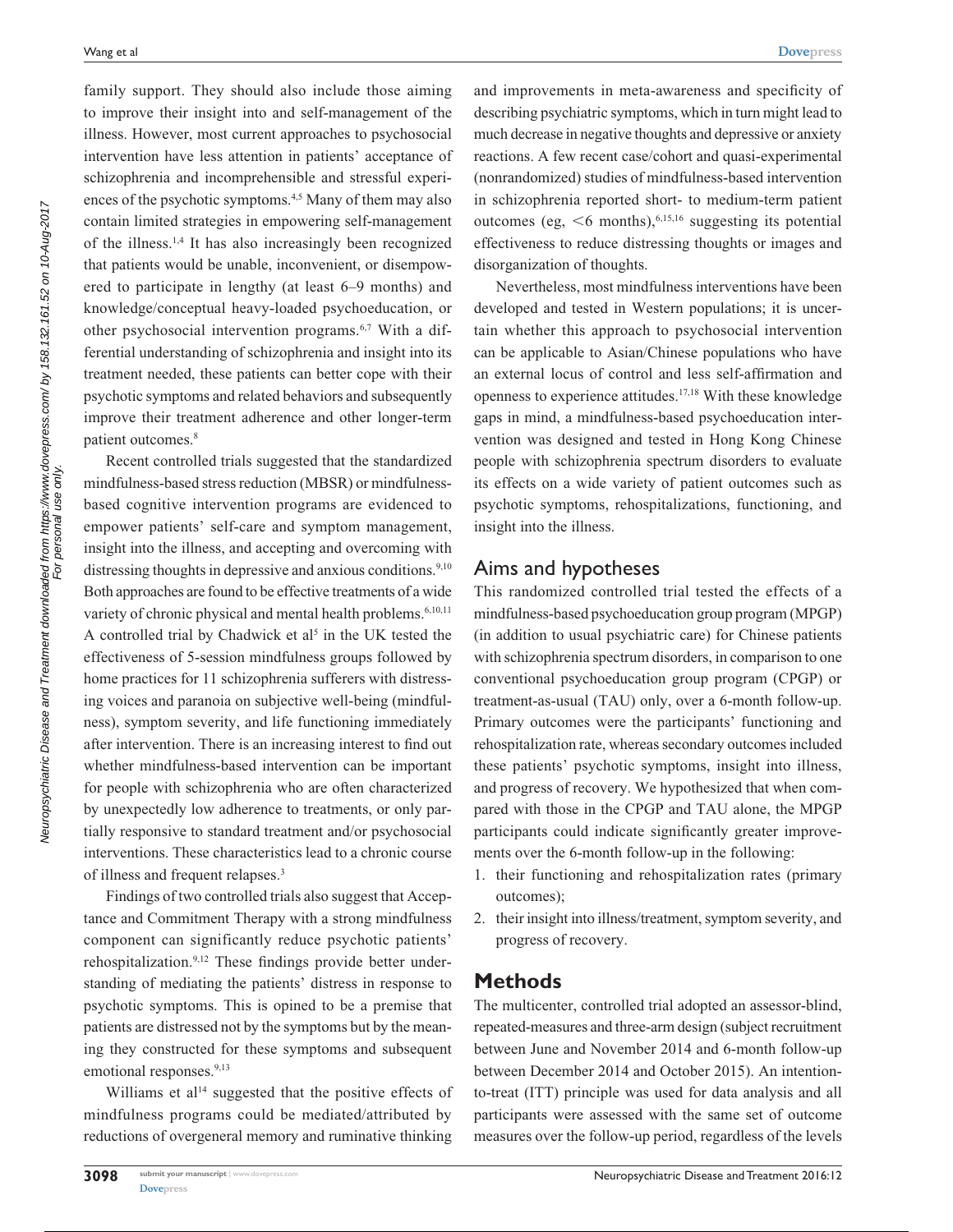family support. They should also include those aiming to improve their insight into and self-management of the illness. However, most current approaches to psychosocial intervention have less attention in patients' acceptance of schizophrenia and incomprehensible and stressful experiences of the psychotic symptoms.<sup>4,5</sup> Many of them may also contain limited strategies in empowering self-management of the illness.1,4 It has also increasingly been recognized that patients would be unable, inconvenient, or disempowered to participate in lengthy (at least 6–9 months) and knowledge/conceptual heavy-loaded psychoeducation, or other psychosocial intervention programs.6,7 With a differential understanding of schizophrenia and insight into its treatment needed, these patients can better cope with their psychotic symptoms and related behaviors and subsequently improve their treatment adherence and other longer-term patient outcomes.<sup>8</sup>

Recent controlled trials suggested that the standardized mindfulness-based stress reduction (MBSR) or mindfulnessbased cognitive intervention programs are evidenced to empower patients' self-care and symptom management, insight into the illness, and accepting and overcoming with distressing thoughts in depressive and anxious conditions.<sup>9,10</sup> Both approaches are found to be effective treatments of a wide variety of chronic physical and mental health problems.<sup>6,10,11</sup> A controlled trial by Chadwick et al<sup>5</sup> in the UK tested the effectiveness of 5-session mindfulness groups followed by home practices for 11 schizophrenia sufferers with distressing voices and paranoia on subjective well-being (mindfulness), symptom severity, and life functioning immediately after intervention. There is an increasing interest to find out whether mindfulness-based intervention can be important for people with schizophrenia who are often characterized by unexpectedly low adherence to treatments, or only partially responsive to standard treatment and/or psychosocial interventions. These characteristics lead to a chronic course of illness and frequent relapses.3

Findings of two controlled trials also suggest that Acceptance and Commitment Therapy with a strong mindfulness component can significantly reduce psychotic patients' rehospitalization.9,12 These findings provide better understanding of mediating the patients' distress in response to psychotic symptoms. This is opined to be a premise that patients are distressed not by the symptoms but by the meaning they constructed for these symptoms and subsequent emotional responses.<sup>9,13</sup>

Williams et  $al<sup>14</sup>$  suggested that the positive effects of mindfulness programs could be mediated/attributed by reductions of overgeneral memory and ruminative thinking and improvements in meta-awareness and specificity of describing psychiatric symptoms, which in turn might lead to much decrease in negative thoughts and depressive or anxiety reactions. A few recent case/cohort and quasi-experimental (nonrandomized) studies of mindfulness-based intervention in schizophrenia reported short- to medium-term patient outcomes (eg,  $\leq 6$  months),<sup>6,15,16</sup> suggesting its potential effectiveness to reduce distressing thoughts or images and disorganization of thoughts.

Nevertheless, most mindfulness interventions have been developed and tested in Western populations; it is uncertain whether this approach to psychosocial intervention can be applicable to Asian/Chinese populations who have an external locus of control and less self-affirmation and openness to experience attitudes.17,18 With these knowledge gaps in mind, a mindfulness-based psychoeducation intervention was designed and tested in Hong Kong Chinese people with schizophrenia spectrum disorders to evaluate its effects on a wide variety of patient outcomes such as psychotic symptoms, rehospitalizations, functioning, and insight into the illness.

## Aims and hypotheses

This randomized controlled trial tested the effects of a mindfulness-based psychoeducation group program (MPGP) (in addition to usual psychiatric care) for Chinese patients with schizophrenia spectrum disorders, in comparison to one conventional psychoeducation group program (CPGP) or treatment-as-usual (TAU) only, over a 6-month follow-up. Primary outcomes were the participants' functioning and rehospitalization rate, whereas secondary outcomes included these patients' psychotic symptoms, insight into illness, and progress of recovery. We hypothesized that when compared with those in the CPGP and TAU alone, the MPGP participants could indicate significantly greater improvements over the 6-month follow-up in the following:

- 1. their functioning and rehospitalization rates (primary outcomes);
- 2. their insight into illness/treatment, symptom severity, and progress of recovery.

## **Methods**

The multicenter, controlled trial adopted an assessor-blind, repeated-measures and three-arm design (subject recruitment between June and November 2014 and 6-month follow-up between December 2014 and October 2015). An intentionto-treat (ITT) principle was used for data analysis and all participants were assessed with the same set of outcome measures over the follow-up period, regardless of the levels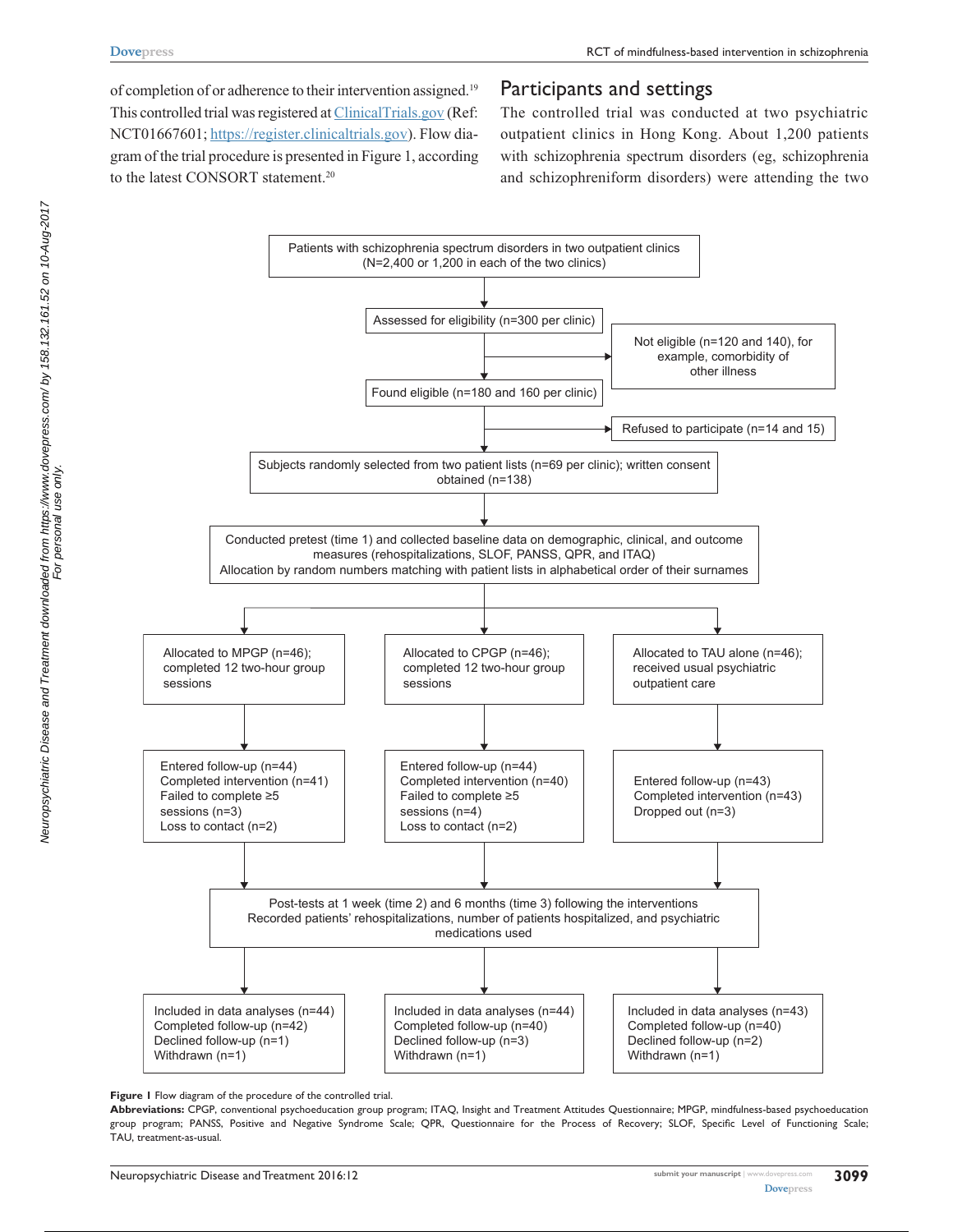of completion of or adherence to their intervention assigned.<sup>19</sup> This controlled trial was registered at [ClinicalTrials.gov](https://ClinicalTrials.gov) (Ref: NCT01667601; [https://register.clinicaltrials.gov\)](https://register.clinicaltrials.gov). Flow diagram of the trial procedure is presented in Figure 1, according to the latest CONSORT statement.<sup>20</sup>

# Participants and settings

The controlled trial was conducted at two psychiatric outpatient clinics in Hong Kong. About 1,200 patients with schizophrenia spectrum disorders (eg, schizophrenia and schizophreniform disorders) were attending the two



**Figure 1** Flow diagram of the procedure of the controlled trial.

**Abbreviations:** CPGP, conventional psychoeducation group program; ITAQ, Insight and Treatment Attitudes Questionnaire; MPGP, mindfulness-based psychoeducation group program; PANSS, Positive and Negative Syndrome Scale; QPR, Questionnaire for the Process of Recovery; SLOF, Specific Level of Functioning Scale; TAU, treatment-as-usual.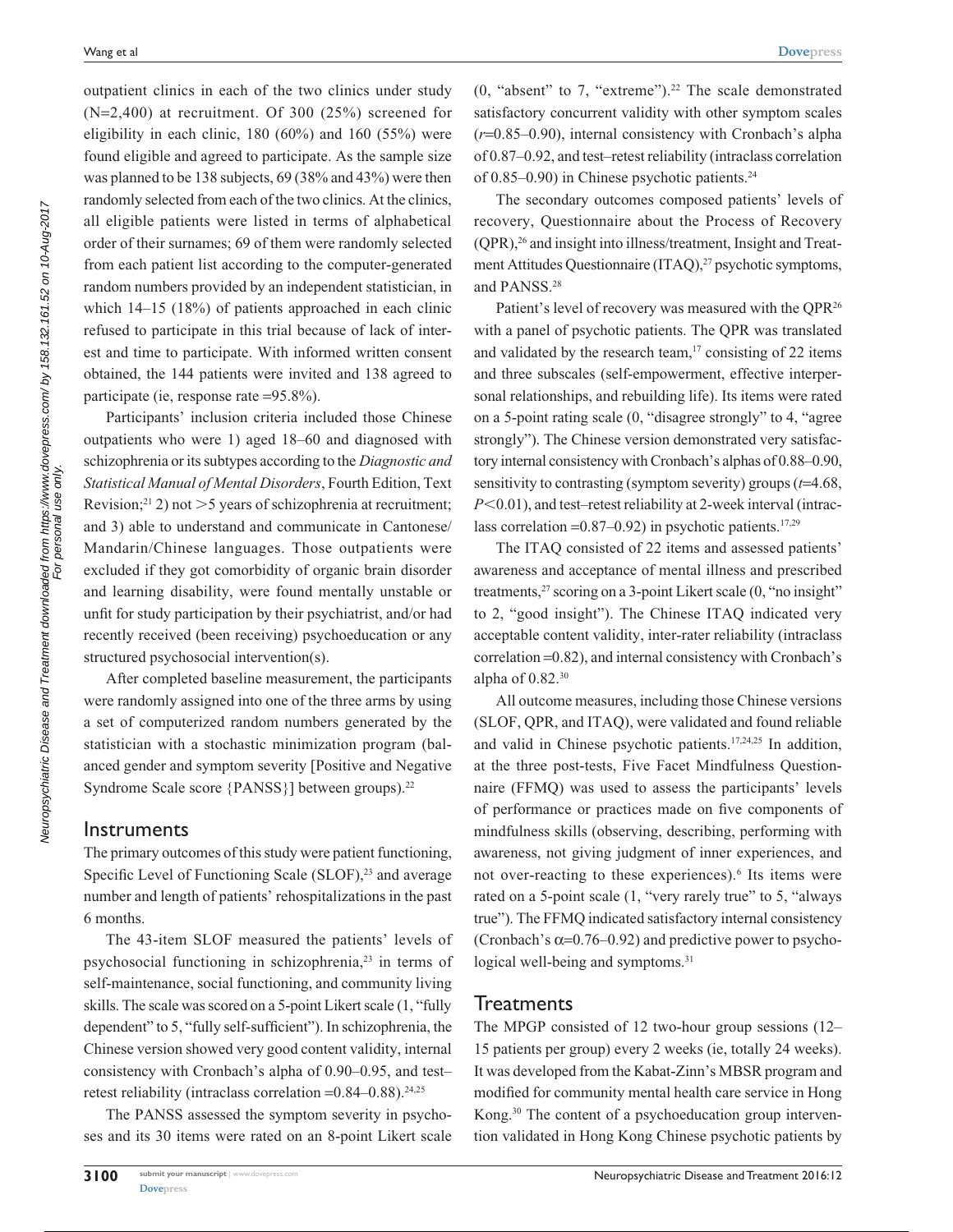outpatient clinics in each of the two clinics under study (N=2,400) at recruitment. Of 300 (25%) screened for eligibility in each clinic, 180 (60%) and 160 (55%) were found eligible and agreed to participate. As the sample size was planned to be 138 subjects, 69 (38% and 43%) were then randomly selected from each of the two clinics. At the clinics, all eligible patients were listed in terms of alphabetical order of their surnames; 69 of them were randomly selected from each patient list according to the computer-generated random numbers provided by an independent statistician, in which 14–15 (18%) of patients approached in each clinic refused to participate in this trial because of lack of interest and time to participate. With informed written consent obtained, the 144 patients were invited and 138 agreed to participate (ie, response rate =95.8%).

Participants' inclusion criteria included those Chinese outpatients who were 1) aged 18–60 and diagnosed with schizophrenia or its subtypes according to the *Diagnostic and Statistical Manual of Mental Disorders*, Fourth Edition, Text Revision;<sup>21</sup> 2) not  $>5$  years of schizophrenia at recruitment; and 3) able to understand and communicate in Cantonese/ Mandarin/Chinese languages. Those outpatients were excluded if they got comorbidity of organic brain disorder and learning disability, were found mentally unstable or unfit for study participation by their psychiatrist, and/or had recently received (been receiving) psychoeducation or any structured psychosocial intervention(s).

After completed baseline measurement, the participants were randomly assigned into one of the three arms by using a set of computerized random numbers generated by the statistician with a stochastic minimization program (balanced gender and symptom severity [Positive and Negative Syndrome Scale score {PANSS}] between groups).<sup>22</sup>

#### **Instruments**

The primary outcomes of this study were patient functioning, Specific Level of Functioning Scale (SLOF),<sup>23</sup> and average number and length of patients' rehospitalizations in the past 6 months.

The 43-item SLOF measured the patients' levels of psychosocial functioning in schizophrenia,23 in terms of self-maintenance, social functioning, and community living skills. The scale was scored on a 5-point Likert scale (1, "fully dependent" to 5, "fully self-sufficient"). In schizophrenia, the Chinese version showed very good content validity, internal consistency with Cronbach's alpha of 0.90–0.95, and test– retest reliability (intraclass correlation  $=0.84-0.88$ ).<sup>24,25</sup>

The PANSS assessed the symptom severity in psychoses and its 30 items were rated on an 8-point Likert scale  $(0, "absent" to 7, "extreme").<sup>22</sup> The scale demonstrated$ satisfactory concurrent validity with other symptom scales (*r*=0.85–0.90), internal consistency with Cronbach's alpha of 0.87–0.92, and test–retest reliability (intraclass correlation of 0.85–0.90) in Chinese psychotic patients.<sup>24</sup>

The secondary outcomes composed patients' levels of recovery, Questionnaire about the Process of Recovery (QPR),26 and insight into illness/treatment, Insight and Treatment Attitudes Questionnaire (ITAQ),<sup>27</sup> psychotic symptoms, and PANSS.28

Patient's level of recovery was measured with the QPR<sup>26</sup> with a panel of psychotic patients. The QPR was translated and validated by the research team, $17$  consisting of 22 items and three subscales (self-empowerment, effective interpersonal relationships, and rebuilding life). Its items were rated on a 5-point rating scale (0, "disagree strongly" to 4, "agree strongly"). The Chinese version demonstrated very satisfactory internal consistency with Cronbach's alphas of 0.88–0.90, sensitivity to contrasting (symptom severity) groups (*t*=4.68, *P*<0.01), and test–retest reliability at 2-week interval (intraclass correlation =  $0.87-0.92$ ) in psychotic patients.<sup>17,29</sup>

The ITAQ consisted of 22 items and assessed patients' awareness and acceptance of mental illness and prescribed treatments,<sup>27</sup> scoring on a 3-point Likert scale (0, "no insight" to 2, "good insight"). The Chinese ITAQ indicated very acceptable content validity, inter-rater reliability (intraclass correlation =0.82), and internal consistency with Cronbach's alpha of  $0.82$ .<sup>30</sup>

All outcome measures, including those Chinese versions (SLOF, QPR, and ITAQ), were validated and found reliable and valid in Chinese psychotic patients.17,24,25 In addition, at the three post-tests, Five Facet Mindfulness Questionnaire (FFMQ) was used to assess the participants' levels of performance or practices made on five components of mindfulness skills (observing, describing, performing with awareness, not giving judgment of inner experiences, and not over-reacting to these experiences).<sup>6</sup> Its items were rated on a 5-point scale (1, "very rarely true" to 5, "always true"). The FFMQ indicated satisfactory internal consistency (Cronbach's  $\alpha$ =0.76–0.92) and predictive power to psychological well-being and symptoms.<sup>31</sup>

#### **Treatments**

The MPGP consisted of 12 two-hour group sessions (12– 15 patients per group) every 2 weeks (ie, totally 24 weeks). It was developed from the Kabat-Zinn's MBSR program and modified for community mental health care service in Hong Kong.30 The content of a psychoeducation group intervention validated in Hong Kong Chinese psychotic patients by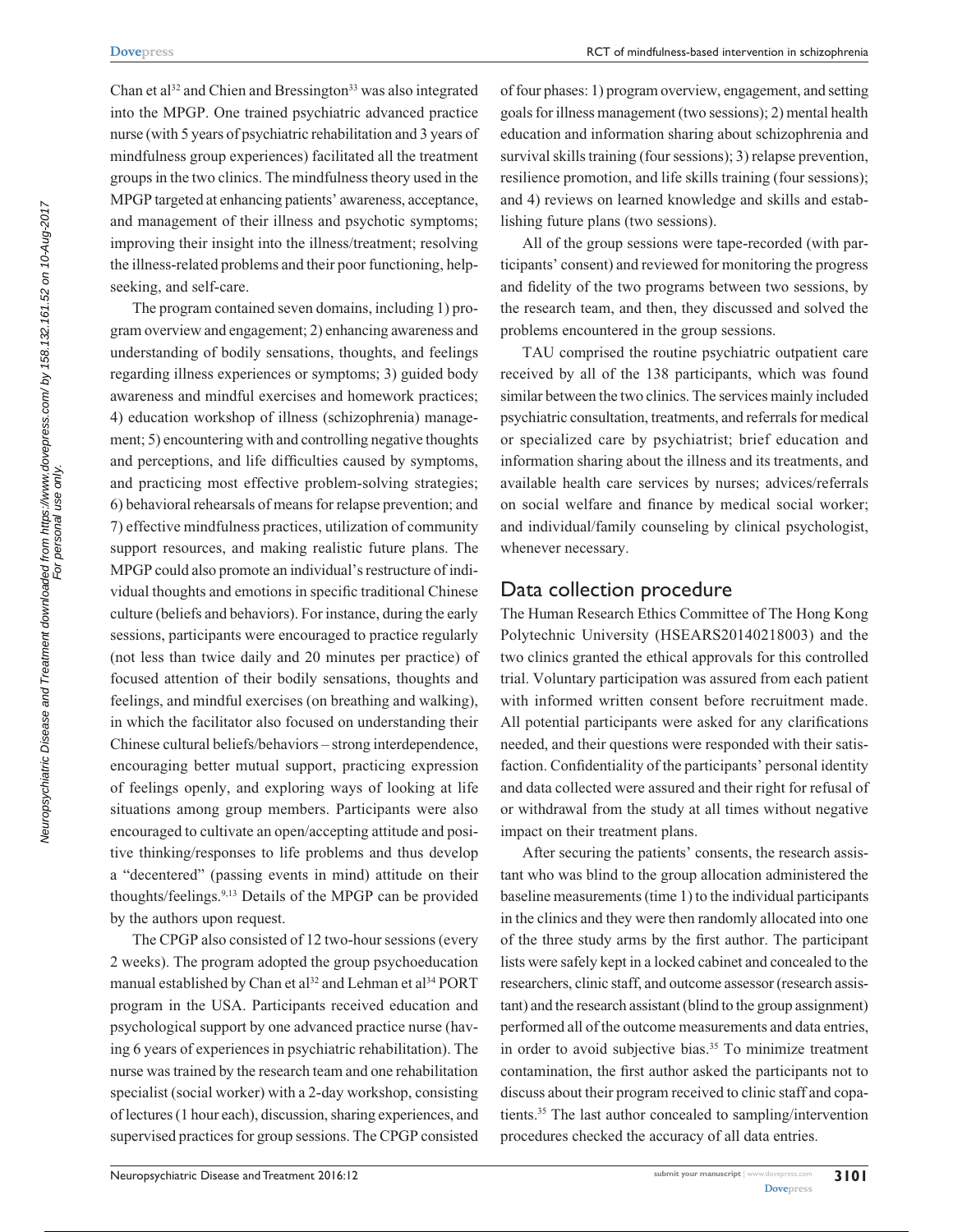Chan et al<sup>32</sup> and Chien and Bressington<sup>33</sup> was also integrated into the MPGP. One trained psychiatric advanced practice nurse (with 5 years of psychiatric rehabilitation and 3 years of mindfulness group experiences) facilitated all the treatment groups in the two clinics. The mindfulness theory used in the MPGP targeted at enhancing patients' awareness, acceptance, and management of their illness and psychotic symptoms; improving their insight into the illness/treatment; resolving the illness-related problems and their poor functioning, helpseeking, and self-care.

The program contained seven domains, including 1) program overview and engagement; 2) enhancing awareness and understanding of bodily sensations, thoughts, and feelings regarding illness experiences or symptoms; 3) guided body awareness and mindful exercises and homework practices; 4) education workshop of illness (schizophrenia) management; 5) encountering with and controlling negative thoughts and perceptions, and life difficulties caused by symptoms, and practicing most effective problem-solving strategies; 6) behavioral rehearsals of means for relapse prevention; and 7) effective mindfulness practices, utilization of community support resources, and making realistic future plans. The MPGP could also promote an individual's restructure of individual thoughts and emotions in specific traditional Chinese culture (beliefs and behaviors). For instance, during the early sessions, participants were encouraged to practice regularly (not less than twice daily and 20 minutes per practice) of focused attention of their bodily sensations, thoughts and feelings, and mindful exercises (on breathing and walking), in which the facilitator also focused on understanding their Chinese cultural beliefs/behaviors – strong interdependence, encouraging better mutual support, practicing expression of feelings openly, and exploring ways of looking at life situations among group members. Participants were also encouraged to cultivate an open/accepting attitude and positive thinking/responses to life problems and thus develop a "decentered" (passing events in mind) attitude on their thoughts/feelings.9,13 Details of the MPGP can be provided by the authors upon request.

The CPGP also consisted of 12 two-hour sessions (every 2 weeks). The program adopted the group psychoeducation manual established by Chan et al<sup>32</sup> and Lehman et al<sup>34</sup> PORT program in the USA. Participants received education and psychological support by one advanced practice nurse (having 6 years of experiences in psychiatric rehabilitation). The nurse was trained by the research team and one rehabilitation specialist (social worker) with a 2-day workshop, consisting of lectures (1 hour each), discussion, sharing experiences, and supervised practices for group sessions. The CPGP consisted of four phases: 1) program overview, engagement, and setting goals for illness management (two sessions); 2) mental health education and information sharing about schizophrenia and survival skills training (four sessions); 3) relapse prevention, resilience promotion, and life skills training (four sessions); and 4) reviews on learned knowledge and skills and establishing future plans (two sessions).

All of the group sessions were tape-recorded (with participants' consent) and reviewed for monitoring the progress and fidelity of the two programs between two sessions, by the research team, and then, they discussed and solved the problems encountered in the group sessions.

TAU comprised the routine psychiatric outpatient care received by all of the 138 participants, which was found similar between the two clinics. The services mainly included psychiatric consultation, treatments, and referrals for medical or specialized care by psychiatrist; brief education and information sharing about the illness and its treatments, and available health care services by nurses; advices/referrals on social welfare and finance by medical social worker; and individual/family counseling by clinical psychologist, whenever necessary.

## Data collection procedure

The Human Research Ethics Committee of The Hong Kong Polytechnic University (HSEARS20140218003) and the two clinics granted the ethical approvals for this controlled trial. Voluntary participation was assured from each patient with informed written consent before recruitment made. All potential participants were asked for any clarifications needed, and their questions were responded with their satisfaction. Confidentiality of the participants' personal identity and data collected were assured and their right for refusal of or withdrawal from the study at all times without negative impact on their treatment plans.

After securing the patients' consents, the research assistant who was blind to the group allocation administered the baseline measurements (time 1) to the individual participants in the clinics and they were then randomly allocated into one of the three study arms by the first author. The participant lists were safely kept in a locked cabinet and concealed to the researchers, clinic staff, and outcome assessor (research assistant) and the research assistant (blind to the group assignment) performed all of the outcome measurements and data entries, in order to avoid subjective bias.<sup>35</sup> To minimize treatment contamination, the first author asked the participants not to discuss about their program received to clinic staff and copatients.35 The last author concealed to sampling/intervention procedures checked the accuracy of all data entries.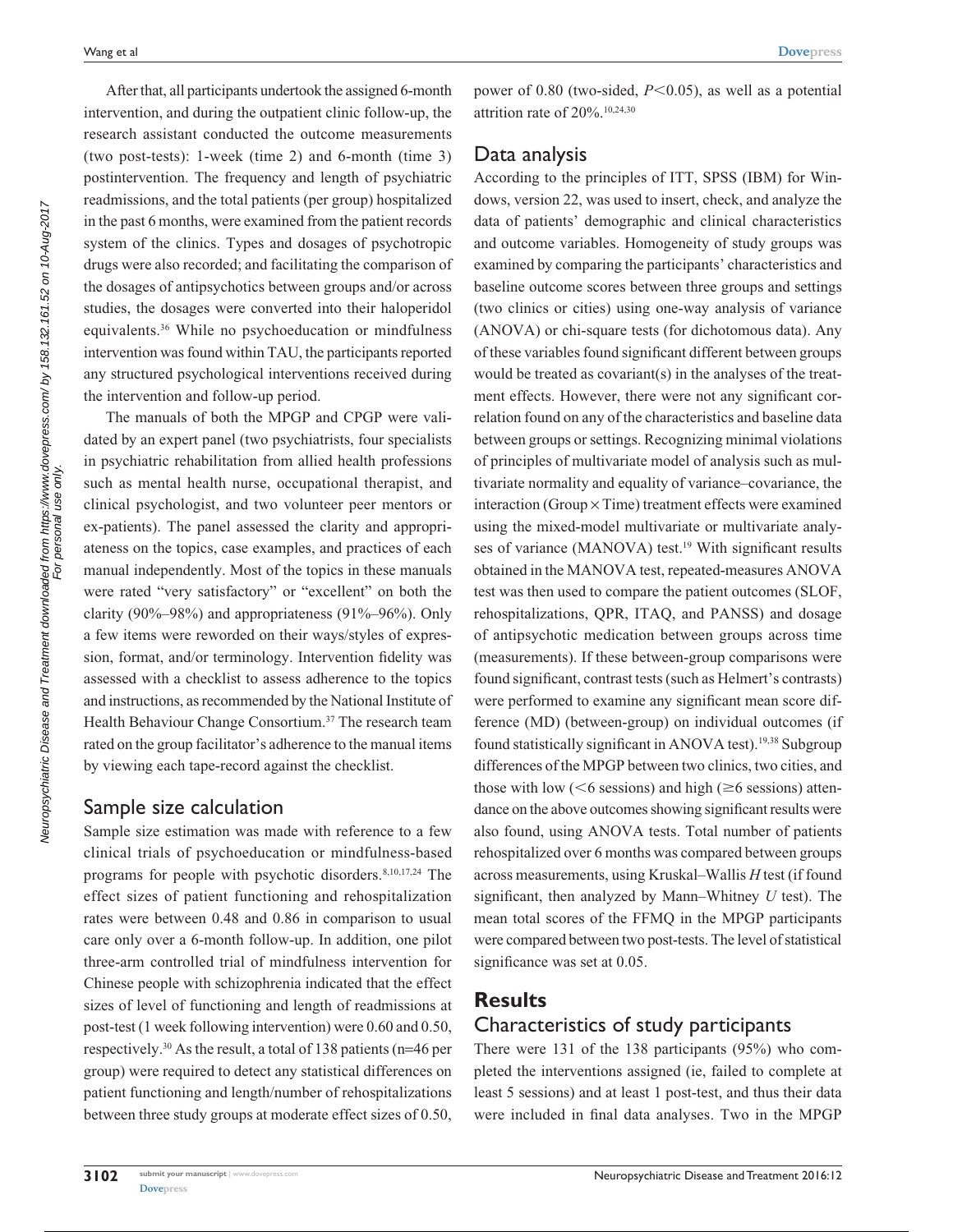**[Dovepress](www.dovepress.com)**

After that, all participants undertook the assigned 6-month intervention, and during the outpatient clinic follow-up, the research assistant conducted the outcome measurements (two post-tests): 1-week (time 2) and 6-month (time 3) postintervention. The frequency and length of psychiatric readmissions, and the total patients (per group) hospitalized in the past 6 months, were examined from the patient records system of the clinics. Types and dosages of psychotropic drugs were also recorded; and facilitating the comparison of the dosages of antipsychotics between groups and/or across studies, the dosages were converted into their haloperidol equivalents.36 While no psychoeducation or mindfulness intervention was found within TAU, the participants reported any structured psychological interventions received during the intervention and follow-up period.

The manuals of both the MPGP and CPGP were validated by an expert panel (two psychiatrists, four specialists in psychiatric rehabilitation from allied health professions such as mental health nurse, occupational therapist, and clinical psychologist, and two volunteer peer mentors or ex-patients). The panel assessed the clarity and appropriateness on the topics, case examples, and practices of each manual independently. Most of the topics in these manuals were rated "very satisfactory" or "excellent" on both the clarity (90%–98%) and appropriateness (91%–96%). Only a few items were reworded on their ways/styles of expression, format, and/or terminology. Intervention fidelity was assessed with a checklist to assess adherence to the topics and instructions, as recommended by the National Institute of Health Behaviour Change Consortium.<sup>37</sup> The research team rated on the group facilitator's adherence to the manual items by viewing each tape-record against the checklist.

## Sample size calculation

Sample size estimation was made with reference to a few clinical trials of psychoeducation or mindfulness-based programs for people with psychotic disorders.8,10,17,24 The effect sizes of patient functioning and rehospitalization rates were between 0.48 and 0.86 in comparison to usual care only over a 6-month follow-up. In addition, one pilot three-arm controlled trial of mindfulness intervention for Chinese people with schizophrenia indicated that the effect sizes of level of functioning and length of readmissions at post-test (1 week following intervention) were 0.60 and 0.50, respectively.30 As the result, a total of 138 patients (n=46 per group) were required to detect any statistical differences on patient functioning and length/number of rehospitalizations between three study groups at moderate effect sizes of 0.50, power of 0.80 (two-sided,  $P \le 0.05$ ), as well as a potential attrition rate of 20%.10,24,30

## Data analysis

According to the principles of ITT, SPSS (IBM) for Windows, version 22, was used to insert, check, and analyze the data of patients' demographic and clinical characteristics and outcome variables. Homogeneity of study groups was examined by comparing the participants' characteristics and baseline outcome scores between three groups and settings (two clinics or cities) using one-way analysis of variance (ANOVA) or chi-square tests (for dichotomous data). Any of these variables found significant different between groups would be treated as covariant(s) in the analyses of the treatment effects. However, there were not any significant correlation found on any of the characteristics and baseline data between groups or settings. Recognizing minimal violations of principles of multivariate model of analysis such as multivariate normality and equality of variance–covariance, the interaction (Group  $\times$  Time) treatment effects were examined using the mixed-model multivariate or multivariate analyses of variance (MANOVA) test.<sup>19</sup> With significant results obtained in the MANOVA test, repeated-measures ANOVA test was then used to compare the patient outcomes (SLOF, rehospitalizations, QPR, ITAQ, and PANSS) and dosage of antipsychotic medication between groups across time (measurements). If these between-group comparisons were found significant, contrast tests (such as Helmert's contrasts) were performed to examine any significant mean score difference (MD) (between-group) on individual outcomes (if found statistically significant in ANOVA test).<sup>19,38</sup> Subgroup differences of the MPGP between two clinics, two cities, and those with low ( $\leq 6$  sessions) and high ( $\geq 6$  sessions) attendance on the above outcomes showing significant results were also found, using ANOVA tests. Total number of patients rehospitalized over 6 months was compared between groups across measurements, using Kruskal–Wallis *H* test (if found significant, then analyzed by Mann–Whitney *U* test). The mean total scores of the FFMQ in the MPGP participants were compared between two post-tests. The level of statistical significance was set at 0.05.

## **Results**

# Characteristics of study participants

There were 131 of the 138 participants (95%) who completed the interventions assigned (ie, failed to complete at least 5 sessions) and at least 1 post-test, and thus their data were included in final data analyses. Two in the MPGP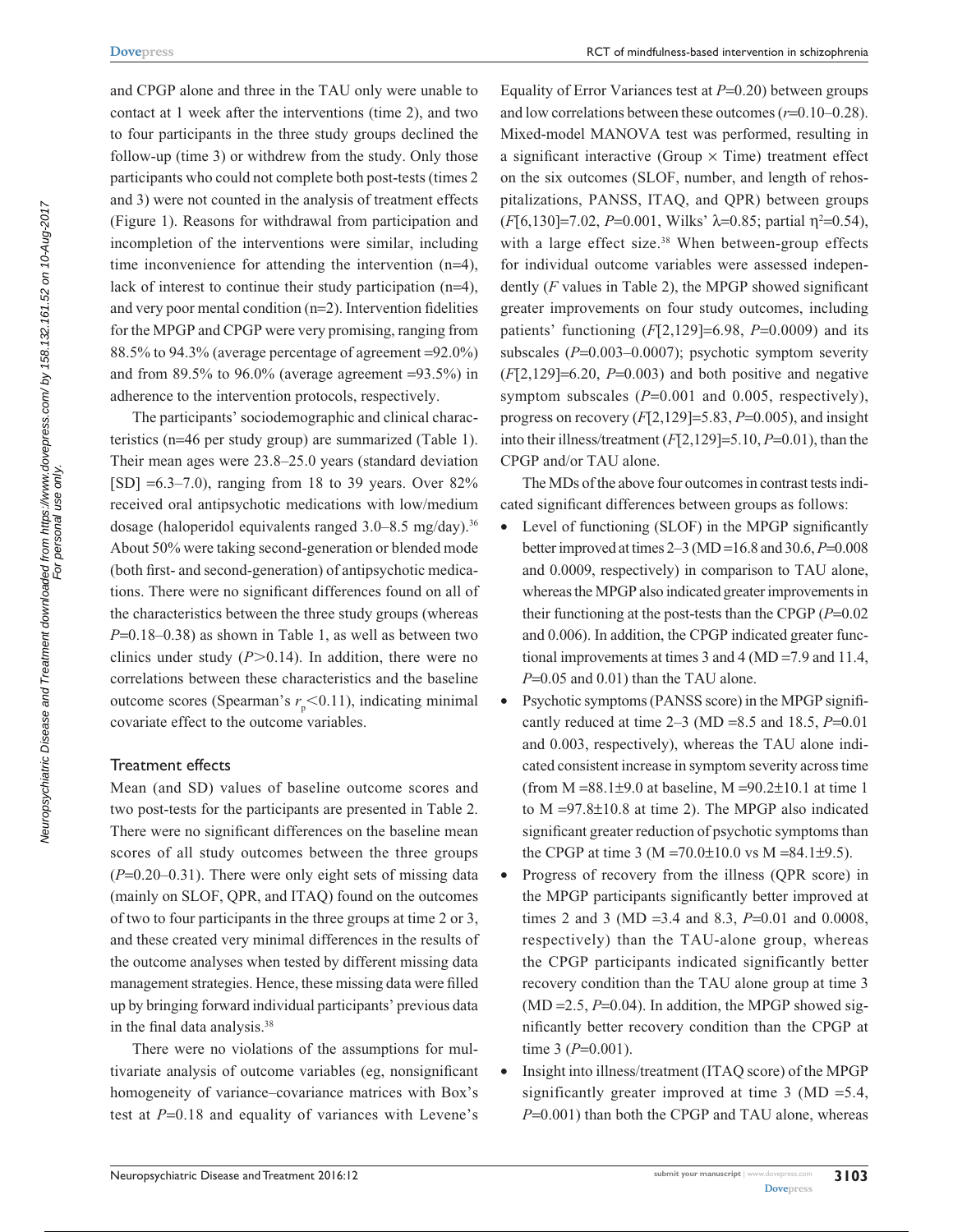and CPGP alone and three in the TAU only were unable to contact at 1 week after the interventions (time 2), and two to four participants in the three study groups declined the follow-up (time 3) or withdrew from the study. Only those participants who could not complete both post-tests (times 2 and 3) were not counted in the analysis of treatment effects (Figure 1). Reasons for withdrawal from participation and incompletion of the interventions were similar, including time inconvenience for attending the intervention (n=4), lack of interest to continue their study participation (n=4), and very poor mental condition (n=2). Intervention fidelities for the MPGP and CPGP were very promising, ranging from 88.5% to 94.3% (average percentage of agreement =92.0%) and from 89.5% to 96.0% (average agreement  $=93.5\%$ ) in adherence to the intervention protocols, respectively.

The participants' sociodemographic and clinical characteristics (n=46 per study group) are summarized (Table 1). Their mean ages were 23.8–25.0 years (standard deviation [SD]  $=6.3-7.0$ , ranging from 18 to 39 years. Over 82% received oral antipsychotic medications with low/medium dosage (haloperidol equivalents ranged 3.0–8.5 mg/day).<sup>36</sup> About 50% were taking second-generation or blended mode (both first- and second-generation) of antipsychotic medications. There were no significant differences found on all of the characteristics between the three study groups (whereas *P*=0.18–0.38) as shown in Table 1, as well as between two clinics under study  $(P>0.14)$ . In addition, there were no correlations between these characteristics and the baseline outcome scores (Spearman's  $r_{p}$ <0.11), indicating minimal covariate effect to the outcome variables.

#### Treatment effects

Mean (and SD) values of baseline outcome scores and two post-tests for the participants are presented in Table 2. There were no significant differences on the baseline mean scores of all study outcomes between the three groups (*P*=0.20–0.31). There were only eight sets of missing data (mainly on SLOF, QPR, and ITAQ) found on the outcomes of two to four participants in the three groups at time 2 or 3, and these created very minimal differences in the results of the outcome analyses when tested by different missing data management strategies. Hence, these missing data were filled up by bringing forward individual participants' previous data in the final data analysis.38

There were no violations of the assumptions for multivariate analysis of outcome variables (eg, nonsignificant homogeneity of variance–covariance matrices with Box's test at  $P=0.18$  and equality of variances with Levene's

Equality of Error Variances test at *P*=0.20) between groups and low correlations between these outcomes (*r*=0.10–0.28). Mixed-model MANOVA test was performed, resulting in a significant interactive (Group  $\times$  Time) treatment effect on the six outcomes (SLOF, number, and length of rehospitalizations, PANSS, ITAQ, and QPR) between groups  $(F[6, 130] = 7.02, P=0.001, \text{ Wilks'} \lambda = 0.85; \text{ partial } \eta^2 = 0.54$ , with a large effect size.<sup>38</sup> When between-group effects for individual outcome variables were assessed independently (*F* values in Table 2), the MPGP showed significant greater improvements on four study outcomes, including patients' functioning (*F*[2,129]=6.98, *P*=0.0009) and its subscales ( $P=0.003-0.0007$ ); psychotic symptom severity  $(F[2,129] = 6.20, P=0.003)$  and both positive and negative symptom subscales ( $P=0.001$  and 0.005, respectively), progress on recovery (*F*[2,129]=5.83, *P*=0.005), and insight into their illness/treatment (*F*[2,129]=5.10, *P*=0.01), than the CPGP and/or TAU alone.

The MDs of the above four outcomes in contrast tests indicated significant differences between groups as follows:

- Level of functioning (SLOF) in the MPGP significantly better improved at times 2–3 (MD =16.8 and 30.6, *P*=0.008 and 0.0009, respectively) in comparison to TAU alone, whereas the MPGP also indicated greater improvements in their functioning at the post-tests than the CPGP (*P*=0.02 and 0.006). In addition, the CPGP indicated greater functional improvements at times 3 and 4 (MD =7.9 and 11.4, *P*=0.05 and 0.01) than the TAU alone.
- Psychotic symptoms (PANSS score) in the MPGP significantly reduced at time 2–3 (MD =8.5 and 18.5, *P*=0.01 and 0.003, respectively), whereas the TAU alone indicated consistent increase in symptom severity across time (from  $M = 88.1 \pm 9.0$  at baseline,  $M = 90.2 \pm 10.1$  at time 1 to M =97.8±10.8 at time 2). The MPGP also indicated significant greater reduction of psychotic symptoms than the CPGP at time 3 (M = 70.0 $\pm$ 10.0 vs M = 84.1 $\pm$ 9.5).
- Progress of recovery from the illness (QPR score) in the MPGP participants significantly better improved at times 2 and 3 (MD =3.4 and 8.3, *P*=0.01 and 0.0008, respectively) than the TAU-alone group, whereas the CPGP participants indicated significantly better recovery condition than the TAU alone group at time 3  $(MD = 2.5, P = 0.04)$ . In addition, the MPGP showed significantly better recovery condition than the CPGP at time 3 (*P*=0.001).
- Insight into illness/treatment (ITAQ score) of the MPGP significantly greater improved at time 3 (MD =5.4, *P*=0.001) than both the CPGP and TAU alone, whereas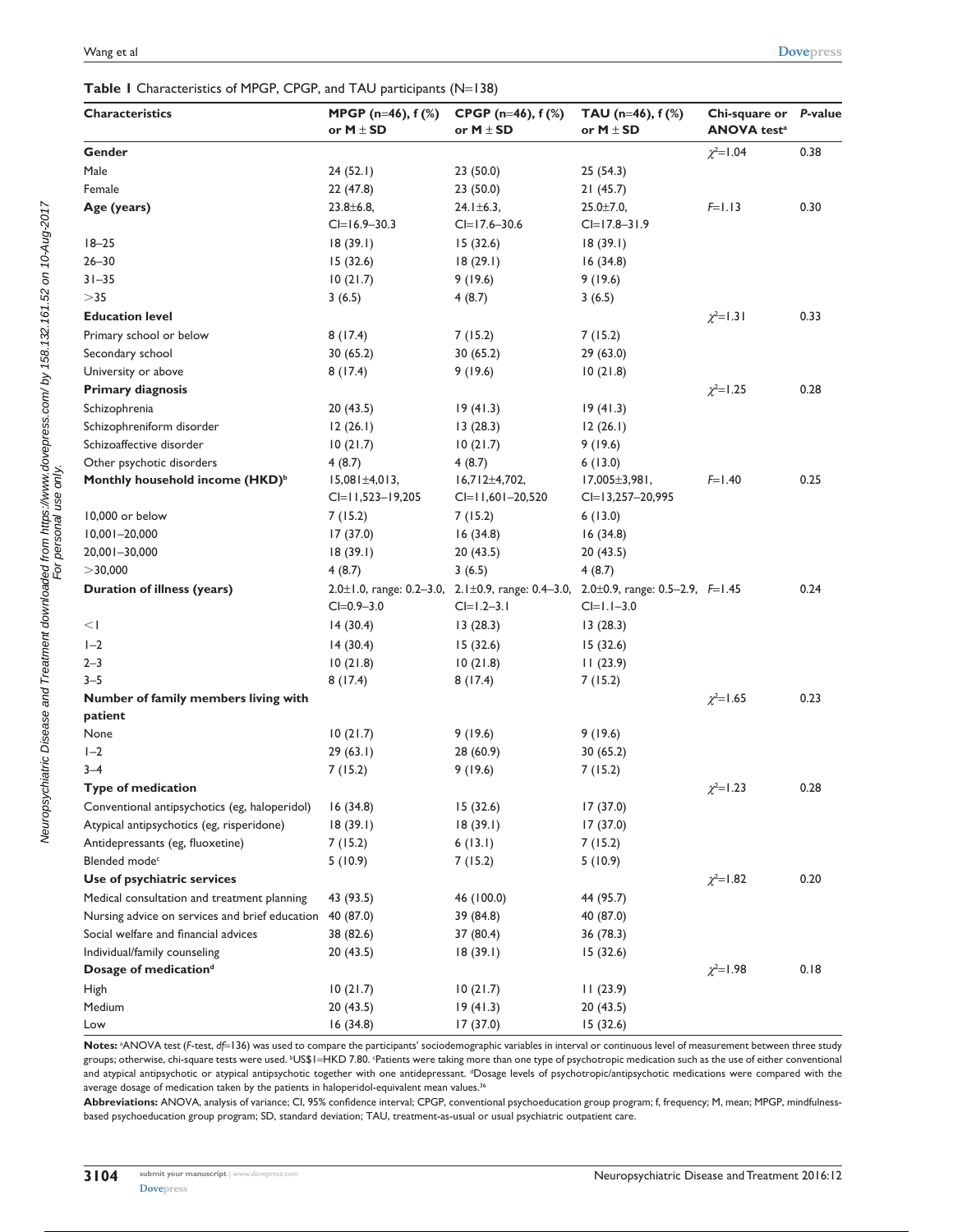#### Table 1 Characteristics of MPGP, CPGP, and TAU participants (N=138)

| <b>Characteristics</b>                         | MPGP (n=46), f (%)     | CPGP ( $n=46$ ), $f$ (%)                                                          | TAU ( $n=46$ ), $f$ (%) | Chi-square or                  | P-value |
|------------------------------------------------|------------------------|-----------------------------------------------------------------------------------|-------------------------|--------------------------------|---------|
|                                                | or $M \pm SD$          | or $M \pm SD$                                                                     | or $M \pm SD$           | <b>ANOVA</b> test <sup>a</sup> |         |
| Gender                                         |                        |                                                                                   |                         | $\chi^2 = 1.04$                | 0.38    |
| Male                                           | 24(52.1)               | 23(50.0)                                                                          | 25(54.3)                |                                |         |
| Female                                         | 22 (47.8)              | 23(50.0)                                                                          | 21(45.7)                |                                |         |
| Age (years)                                    | $23.8 \pm 6.8$         | $24.1 \pm 6.3$ ,                                                                  | $25.0 \pm 7.0$ ,        | $F=1.13$                       | 0.30    |
|                                                | $CI = 16.9 - 30.3$     | $CI = 17.6 - 30.6$                                                                | $CI = 17.8 - 31.9$      |                                |         |
| $18 - 25$                                      | 18(39.1)               | 15(32.6)                                                                          | 18(39.1)                |                                |         |
| $26 - 30$                                      | 15(32.6)               | 18(29.1)                                                                          | 16(34.8)                |                                |         |
| $31 - 35$                                      | 10(21.7)               | 9(19.6)                                                                           | 9(19.6)                 |                                |         |
| >35                                            | 3(6.5)                 | 4(8.7)                                                                            | 3(6.5)                  |                                |         |
| <b>Education level</b>                         |                        |                                                                                   |                         | $\chi^2 = 1.31$                | 0.33    |
| Primary school or below                        | 8(17.4)                | 7(15.2)                                                                           | 7(15.2)                 |                                |         |
| Secondary school                               | 30(65.2)               | 30 (65.2)                                                                         | 29(63.0)                |                                |         |
| University or above                            | 8(17.4)                | 9(19.6)                                                                           | 10(21.8)                |                                |         |
| <b>Primary diagnosis</b>                       |                        |                                                                                   |                         | $\chi^2$ =1.25                 | 0.28    |
| Schizophrenia                                  | 20(43.5)               | 19(41.3)                                                                          | 19(41.3)                |                                |         |
| Schizophreniform disorder                      | 12(26.1)               | 13(28.3)                                                                          | 12(26.1)                |                                |         |
| Schizoaffective disorder                       | 10(21.7)               | 10(21.7)                                                                          | 9(19.6)                 |                                |         |
| Other psychotic disorders                      | 4(8.7)                 | 4(8.7)                                                                            | 6(13.0)                 |                                |         |
| Monthly household income (HKD) <sup>b</sup>    | $15,081 \pm 4,013,$    | $16,712 \pm 4,702,$                                                               | $17,005 \pm 3,981$ ,    | $F=1.40$                       | 0.25    |
|                                                | $CI = 11,523 - 19,205$ | $Cl=11,601-20,520$                                                                | $Cl = 13,257 - 20,995$  |                                |         |
| 10,000 or below                                | 7(15.2)                | 7(15.2)                                                                           | 6(13.0)                 |                                |         |
| $10,001 - 20,000$                              | 17(37.0)               | 16(34.8)                                                                          | 16(34.8)                |                                |         |
| 20,001-30,000                                  | 18(39.1)               | 20(43.5)                                                                          | 20(43.5)                |                                |         |
| $>$ 30,000                                     | 4(8.7)                 | 3(6.5)                                                                            | 4(8.7)                  |                                |         |
| Duration of illness (years)                    |                        | 2.0±1.0, range: 0.2-3.0, 2.1±0.9, range: 0.4-3.0, 2.0±0.9, range: 0.5-2.9, F=1.45 |                         |                                | 0.24    |
|                                                | $CI = 0.9 - 3.0$       | $Cl=1.2-3.1$                                                                      | $Cl=1.1-3.0$            |                                |         |
| <                                              | 14(30.4)               | 13(28.3)                                                                          | 13(28.3)                |                                |         |
| $I-2$                                          | 14(30.4)               | 15(32.6)                                                                          | 15(32.6)                |                                |         |
| $2 - 3$                                        | 10(21.8)               | 10(21.8)                                                                          | 11(23.9)                |                                |         |
| $3 - 5$                                        | 8(17.4)                | 8(17.4)                                                                           | 7(15.2)                 |                                |         |
| Number of family members living with           |                        |                                                                                   |                         | $\chi^2 = 1.65$                | 0.23    |
| patient                                        |                        |                                                                                   |                         |                                |         |
| None                                           | 10(21.7)               | 9(19.6)                                                                           | 9(19.6)                 |                                |         |
| $I - 2$                                        | 29(63.1)               | 28 (60.9)                                                                         | 30(65.2)                |                                |         |
| $3 - 4$                                        | 7(15.2)                | 9(19.6)                                                                           | 7(15.2)                 |                                |         |
| <b>Type of medication</b>                      |                        |                                                                                   |                         | $\chi^2 = 1.23$                | 0.28    |
| Conventional antipsychotics (eg, haloperidol)  | 16(34.8)               | 15(32.6)                                                                          | 17(37.0)                |                                |         |
| Atypical antipsychotics (eg, risperidone)      | 18(39.1)               | 18(39.1)                                                                          | 17(37.0)                |                                |         |
| Antidepressants (eg, fluoxetine)               | 7(15.2)                | 6(13.1)                                                                           | 7(15.2)                 |                                |         |
| Blended mode <sup>c</sup>                      | 5(10.9)                | 7(15.2)                                                                           | 5(10.9)                 |                                |         |
| Use of psychiatric services                    |                        |                                                                                   |                         | $\chi^2 = 1.82$                | 0.20    |
| Medical consultation and treatment planning    | 43 (93.5)              | 46 (100.0)                                                                        | 44 (95.7)               |                                |         |
| Nursing advice on services and brief education | 40 (87.0)              | 39 (84.8)                                                                         | 40 (87.0)               |                                |         |
| Social welfare and financial advices           | 38 (82.6)              | 37 (80.4)                                                                         | 36 (78.3)               |                                |         |
| Individual/family counseling                   | 20 (43.5)              | 18(39.1)                                                                          | 15(32.6)                |                                |         |
| Dosage of medication <sup>d</sup>              |                        |                                                                                   |                         | $\chi^2 = 1.98$                | 0.18    |
| High                                           | 10(21.7)               | 10(21.7)                                                                          | 11(23.9)                |                                |         |
| Medium                                         | 20(43.5)               | 19(41.3)                                                                          | 20(43.5)                |                                |         |
| Low                                            | 16(34.8)               | 17(37.0)                                                                          | 15(32.6)                |                                |         |

Notes: <sup>3</sup>ANOVA test (*F*-test, *df*=136) was used to compare the participants' sociodemographic variables in interval or continuous level of measurement between three study groups; otherwise, chi-square tests were used. <sup>ь</sup>US\$1=HKD 7.80. Patients were taking more than one type of psychotropic medication such as the use of either conventional and atypical antipsychotic or atypical antipsychotic together with one antidepressant. <sup>d</sup>Dosage levels of psychotropic/antipsychotic medications were compared with the average dosage of medication taken by the patients in haloperidol-equivalent mean values.<sup>36</sup>

**Abbreviations:** ANOVA, analysis of variance; CI, 95% confidence interval; CPGP, conventional psychoeducation group program; f, frequency; M, mean; MPGP, mindfulnessbased psychoeducation group program; SD, standard deviation; TAU, treatment-as-usual or usual psychiatric outpatient care.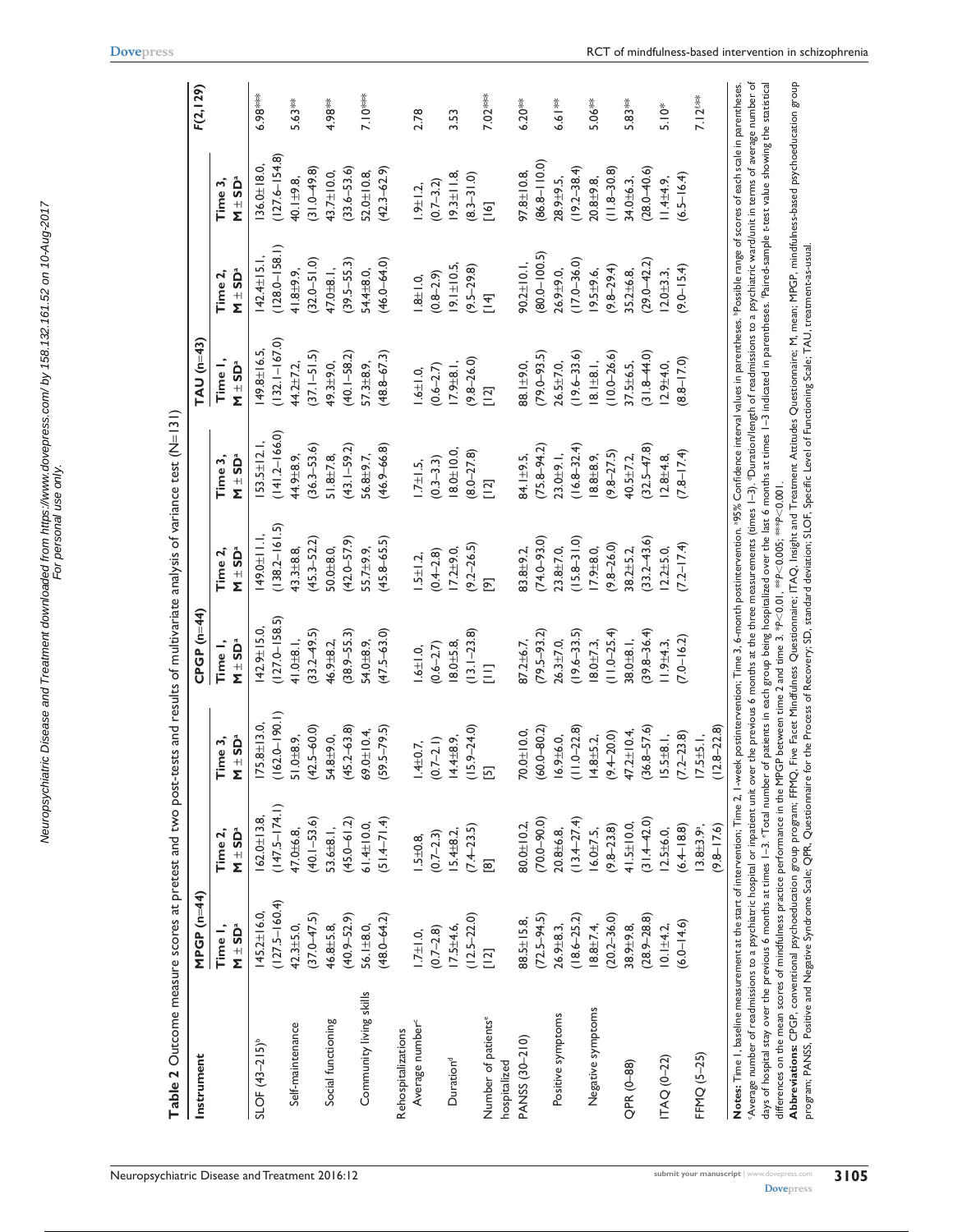| Instrument                      | MPGP (n=44)                    |                                  |                                   | $CPGP(n=44)$                   |                                       |                                | $TAU(n=43)$                    |                                |                                                | F(2, 129) |
|---------------------------------|--------------------------------|----------------------------------|-----------------------------------|--------------------------------|---------------------------------------|--------------------------------|--------------------------------|--------------------------------|------------------------------------------------|-----------|
|                                 | Ñ ± SDª<br>Time I,             | $M \pm SD^a$<br>Time 2,          | N ± SDª<br>Time 3,                | $M \pm SD^a$<br>Time I,        | $M \pm SD^a$<br>Time 2,               | $M \pm SD^a$<br>Time 3,        | Time I,<br>N ± SDª             | Ñ ± SDª<br>Time 2,             | N ± SDª<br>Time 3,                             |           |
| $SLOF (43-215)^{b}$             | $145.2 \pm 16.0$               | $62.0 \pm 13.8$                  | $175.8 \pm 13.0$                  | $42.9 \pm 15.0$                | 49.0±11.1                             | $53.5 \pm 12.1$                | $49.8 \pm 16.5$ ,              | $42.4 \pm 15.1$ ,              | $36.0 \pm 18.0$                                | 6.98***   |
| Self-maintenance                | $(127.5 - 160.4)$<br>42.3±5.0, | $(147.5 - 174.1)$<br>47.0 ± 6.8, | $(162.0 - 190.1)$<br>$51.0 + 8.9$ | $(127.0 - 158.5)$<br>41.0±8.1, | $(138.2 - 161.5)$<br>$43.3 \pm 8.8$ , | $(141.2 - 166.0)$<br>44.9±8.9, | $(132.1 - 167.0)$<br>44.2±7.2, | $(128.0 - 158.1)$<br>41.8±9.9, | $(127.6 - 154.8)$<br>$40.1 + 9.8$              | 5.63**    |
|                                 | $(37.0 - 47.5)$                | $(40.1 - 53.6)$                  | $(42.5 - 60.0)$                   | $(33.2 - 49.5)$                | $(45.3 - 52.2)$                       | $(36.3 - 53.6)$                | $(37.1 - 51.5)$                | $(32.0 - 51.0)$                | $(31.0 - 49.8)$                                |           |
| Social functioning              | 46.8±5.8,                      | 53.6±8.1,                        | $54.8 + 9.0$                      | 46.9 ± 8.2,                    | $50.0 + 8.0$                          | $51.8 \pm 7.8$                 | 49.3±9.0,                      | 47.0 $\pm$ 8.1,                | 43.7±10.0,                                     | 4.98**    |
|                                 | $(40.9 - 52.9)$                | $(45.0 - 61.2)$                  | $(45.2 - 63.8)$                   | $(38.9 - 55.3)$                | $(42.0 - 57.9)$                       | $(43.1 - 59.2)$                | $(40.1 - 58.2)$                | $(39.5 - 55.3)$                | $(33.6 - 53.6)$                                |           |
| Community living skills         | 56.1±8.0,                      | $61.4 \pm 10.0$                  | $59.0 \pm 10.4$                   | 54.0 ±8.9,                     | 55.7±9.9,                             | 56.8±9.7,                      | $57.3 \pm 8.9$ ,               | 54.4±8.0,                      | 52.0±10.8,                                     | $7.10***$ |
|                                 | $(48.0 - 64.2)$                | $(1.4-71.4)$                     | $59.5 - 79.5$                     | $(47.5 - 63.0)$                | $(45.8 - 65.5)$                       | $(46.9 - 66.8)$                | $(48.8 - 67.3)$                | $(46.0 - 64.0)$                | $(42.3 - 62.9)$                                |           |
| Rehospitalizations              |                                |                                  |                                   |                                |                                       |                                |                                |                                |                                                |           |
| Average number <sup>-c</sup>    | $1.7 \pm 1.0$ ,                | $1.5 + 0.8$                      | $1.4 + 0.7$ ,                     | $1.6 \pm 1.0$ ,                | $1.5 \pm 1.2$                         | $1.7 \pm 1.5$ ,                | $1.6 \pm 1.0$                  | $1.8 \pm 1.0$                  | $1.9 \pm 1.2$ ,                                | 2.78      |
|                                 | $(0.7 - 2.8)$                  | $(0.7 - 2.3)$                    | $(0.7 - 2.1)$                     | $(0.6 - 2.7)$                  | $(0.4 - 2.8)$                         | $(0.3 - 3.3)$                  | $(0.6 - 2.7)$                  | $(0.8 - 2.9)$                  | $(0.7 - 3.2)$                                  |           |
| Duration <sup>d</sup>           | $17.5 + 4.6$                   | $15.4 \pm 8.2$                   | $14.4 \pm 8.9$ ,                  | $18.0 + 5.8$                   | $17.2 + 9.0$                          | $8.0 + 10.0$                   | $17.9 \pm 8.1$ ,               | $9.1 \pm 10.5$                 | $19.3 \pm 11.8$ ,                              | 3.53      |
|                                 | $(12.5 - 22.0)$                | $(7.4 - 23.5)$                   | $(15.9 - 24.0)$                   | $(13.1 - 23.8)$                | $(9.2 - 26.5)$                        | $(8.0 - 27.8)$                 | $(9.8 - 26.0)$                 | $(9.5 - 29.8)$                 | $(8.3 - 31.0)$                                 |           |
| Number of patients <sup>e</sup> | $[12]$                         | ඕ                                | 囨                                 | Ξ                              | $\overline{[9]}$                      | $[12]$                         | $[12]$                         | [14]                           | $\begin{bmatrix} 1 & 6 \\ 0 & 1 \end{bmatrix}$ | 7.02***   |
| hospitalized                    |                                |                                  |                                   |                                |                                       |                                |                                |                                |                                                |           |
| PANSS (30-210)                  | 88.5±15.8                      | 80.0±10.2,                       | $70.0 + 10.0$                     | 87.2±6.7,                      | 83.8±9.2                              | 34.1±9.5,                      | 38.1±9.0,                      | $90.2 \pm 10.1$ ,              | $97.8 \pm 0.8$                                 | $6.20***$ |
|                                 | $(72.5 - 94.5)$                | $(70.0 - 90.0)$                  | $(60.0 - 80.2)$                   | $(79.5 - 93.2)$                | $(74.0 - 93.0)$                       | $(75.8 - 94.2)$                | $(79.0 - 93.5)$                | $(80.0 - 100.5)$               | $(86.8 - 110.0)$                               |           |
| Positive symptoms               | $26.9 \pm 8.3$ ,               | $20.8 + 6.8$                     | $16.9 \pm 6.0$ ,                  | $26.3 \pm 7.0$                 | $23.8 + 7.0$ ,                        | 23.0±9.1,                      | $26.5 \pm 7.0$ ,               | $26.9 + 9.0$                   | 28.9±9.5,                                      | 6.6   **  |
|                                 | $(18.6 - 25.2)$                | $(13.4 - 27.4)$                  | $(11.0 - 22.8)$                   | $(19.6 - 33.5)$                | $(15.8 - 31.0)$                       | $(16.8 - 32.4)$                | $(19.6 - 33.6)$                | $(17.0 - 36.0)$                | $(19.2 - 38.4)$                                |           |
| Negative symptoms               | $18.8 \pm 7.4$ ,               | $6.0 \pm 7.5$ ,                  | $14.8 + 5.2$                      | $18.0 + 7.3$ ,                 | $17.9 \pm 8.0$ ,                      | $8.8 + 8.9$                    | $8.1 \pm 8.1,$                 | $19.5 + 9.6$                   | $20.8 + 9.8$                                   | 5.06**    |
|                                 | $(20.2 - 36.0)$                | $(9.8 - 2.3.8)$                  | $(9.4 - 20.0)$                    | $(11.0 - 25.4)$                | $(9.8 - 26.0)$                        | $(9.8 - 27.5)$                 | $(10.0 - 26.6)$                | $(9.8 - 29.4)$                 | $(11.8 - 30.8)$                                |           |
| QPR (0-88)                      | 38.9±9.8,                      | $41.5 \pm 10.0$                  | $47.2 \pm 10.4$                   | $38.0 + 8.1$ ,                 | 38.2±5.2,                             | 40.5±7.2,                      | 37.5±6.5,                      | $35.2 \pm 6.8$                 | 34.0±6.3,                                      | 5.83**    |
|                                 | $(28.9 - 28.8)$                | $(31.4 - 42.0)$                  | $(36.8 - 57.6)$                   | $(39.8 - 36.4)$                | $(33.2 - 43.6)$                       | $(32.5 - 47.8)$                | $(31.8 - 44.0)$                | $(29.0 - 42.2)$                | $(28.0 - 40.6)$                                |           |
| <b>ITAQ (0-22)</b>              | $0.1 + 4.2$ ,                  | $2.5 + 6.0$                      | $5.5 \pm 8.1$ ,                   | $1.9 + 4.3$                    | $2.2 + 5.0$                           | $2.8 + 4.8$                    | $2.9 + 4.0$                    | $2.0 + 3.3$                    | $1.4 + 4.9$                                    | $5.10*$   |
|                                 | $(6.0 - 14.6)$                 | $(6.4 - 18.8)$                   | $(7.2 - 23.8)$                    | $(7.0 - 16.2)$                 | $(7.2 - 17.4)$                        | $(7.8 - 17.4)$                 | $(0.71 - 8.8)$                 | $(9.0 - 15.4)$                 | $(6.5 - 16.4)$                                 |           |
| FFMQ (5-25)                     |                                | $3.8 + 3.9$ <sup>a</sup> ,       | $17.5 + 5.1$ ,                    |                                |                                       |                                |                                |                                |                                                | 7.126**   |
|                                 |                                | $(9.8 - 17.6)$                   | $12.8 - 22.8$                     |                                |                                       |                                |                                |                                |                                                |           |

Neuropsychiatric Disease and Treatment downloaded from https://www.dovepress.com/ by 158.132.161.52 on 10-Aug-2017 For personal use only.

Neuropsychiatric Disease and Treatment downloaded from https://www.dovepress.com/ by 158.132.161.52 on 10-Aug-2017<br>For personal use only

Attitudes Questionnaire; M, mean; MPGP, mindfulness-based psychoeducation group

differences on the mean scores of mindfulness practice performance in the MPGP between time 2 and time 3. \**P*,0.01, \*\**P*,0.005; \*\*\**P*,0.001. **Abbreviations:** CPGP, conventional psychoeducation group program; FFMQ, Five Facet Mindfulness Questionnaire; ITAQ, Insight and Treatment program; PANSS, Positive and Negative Syndrome Scale; QPR, Questionnaire for the Process of Recovery; SD, standard deviation; SLOF, Specific Level of Functioning Scale; TAU, treatment-as-usual.

differences on the mean scores of mindfulness practice performance in the MPGP between time 2 and time 3. \*P-0.01, \*\*P-0.005, \*\*\*P-C.0.001.<br>**Abbreviations:** CPGP, conventional psychoeducation group program; FFMQ, Five Face

**[Dovepress](www.dovepress.com)**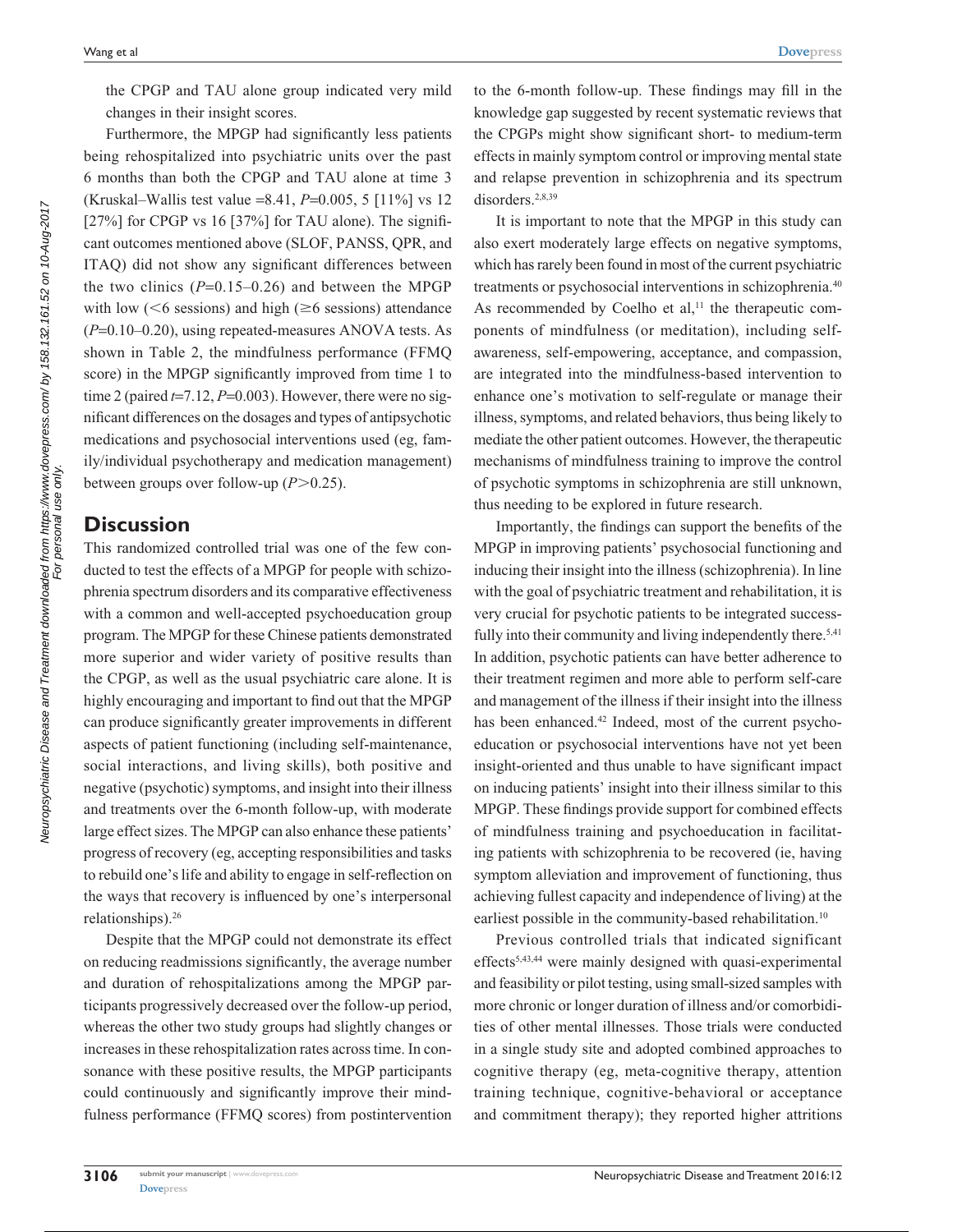the CPGP and TAU alone group indicated very mild changes in their insight scores.

Furthermore, the MPGP had significantly less patients being rehospitalized into psychiatric units over the past 6 months than both the CPGP and TAU alone at time 3 (Kruskal–Wallis test value =8.41, *P*=0.005, 5 [11%] vs 12 [27%] for CPGP vs 16 [37%] for TAU alone). The significant outcomes mentioned above (SLOF, PANSS, QPR, and ITAQ) did not show any significant differences between the two clinics  $(P=0.15-0.26)$  and between the MPGP with low ( $<6$  sessions) and high ( $\geq 6$  sessions) attendance (*P*=0.10–0.20), using repeated-measures ANOVA tests. As shown in Table 2, the mindfulness performance (FFMQ score) in the MPGP significantly improved from time 1 to time 2 (paired  $t=7.12$ ,  $P=0.003$ ). However, there were no significant differences on the dosages and types of antipsychotic medications and psychosocial interventions used (eg, family/individual psychotherapy and medication management) between groups over follow-up  $(P>0.25)$ .

## **Discussion**

This randomized controlled trial was one of the few conducted to test the effects of a MPGP for people with schizophrenia spectrum disorders and its comparative effectiveness with a common and well-accepted psychoeducation group program. The MPGP for these Chinese patients demonstrated more superior and wider variety of positive results than the CPGP, as well as the usual psychiatric care alone. It is highly encouraging and important to find out that the MPGP can produce significantly greater improvements in different aspects of patient functioning (including self-maintenance, social interactions, and living skills), both positive and negative (psychotic) symptoms, and insight into their illness and treatments over the 6-month follow-up, with moderate large effect sizes. The MPGP can also enhance these patients' progress of recovery (eg, accepting responsibilities and tasks to rebuild one's life and ability to engage in self-reflection on the ways that recovery is influenced by one's interpersonal relationships).26

Despite that the MPGP could not demonstrate its effect on reducing readmissions significantly, the average number and duration of rehospitalizations among the MPGP participants progressively decreased over the follow-up period, whereas the other two study groups had slightly changes or increases in these rehospitalization rates across time. In consonance with these positive results, the MPGP participants could continuously and significantly improve their mindfulness performance (FFMQ scores) from postintervention to the 6-month follow-up. These findings may fill in the knowledge gap suggested by recent systematic reviews that the CPGPs might show significant short- to medium-term effects in mainly symptom control or improving mental state and relapse prevention in schizophrenia and its spectrum disorders.<sup>2,8,39</sup>

It is important to note that the MPGP in this study can also exert moderately large effects on negative symptoms, which has rarely been found in most of the current psychiatric treatments or psychosocial interventions in schizophrenia.40 As recommended by Coelho et al, $11$  the therapeutic components of mindfulness (or meditation), including selfawareness, self-empowering, acceptance, and compassion, are integrated into the mindfulness-based intervention to enhance one's motivation to self-regulate or manage their illness, symptoms, and related behaviors, thus being likely to mediate the other patient outcomes. However, the therapeutic mechanisms of mindfulness training to improve the control of psychotic symptoms in schizophrenia are still unknown, thus needing to be explored in future research.

Importantly, the findings can support the benefits of the MPGP in improving patients' psychosocial functioning and inducing their insight into the illness (schizophrenia). In line with the goal of psychiatric treatment and rehabilitation, it is very crucial for psychotic patients to be integrated successfully into their community and living independently there.<sup>5,41</sup> In addition, psychotic patients can have better adherence to their treatment regimen and more able to perform self-care and management of the illness if their insight into the illness has been enhanced.<sup>42</sup> Indeed, most of the current psychoeducation or psychosocial interventions have not yet been insight-oriented and thus unable to have significant impact on inducing patients' insight into their illness similar to this MPGP. These findings provide support for combined effects of mindfulness training and psychoeducation in facilitating patients with schizophrenia to be recovered (ie, having symptom alleviation and improvement of functioning, thus achieving fullest capacity and independence of living) at the earliest possible in the community-based rehabilitation.<sup>10</sup>

Previous controlled trials that indicated significant effects5,43,44 were mainly designed with quasi-experimental and feasibility or pilot testing, using small-sized samples with more chronic or longer duration of illness and/or comorbidities of other mental illnesses. Those trials were conducted in a single study site and adopted combined approaches to cognitive therapy (eg, meta-cognitive therapy, attention training technique, cognitive-behavioral or acceptance and commitment therapy); they reported higher attritions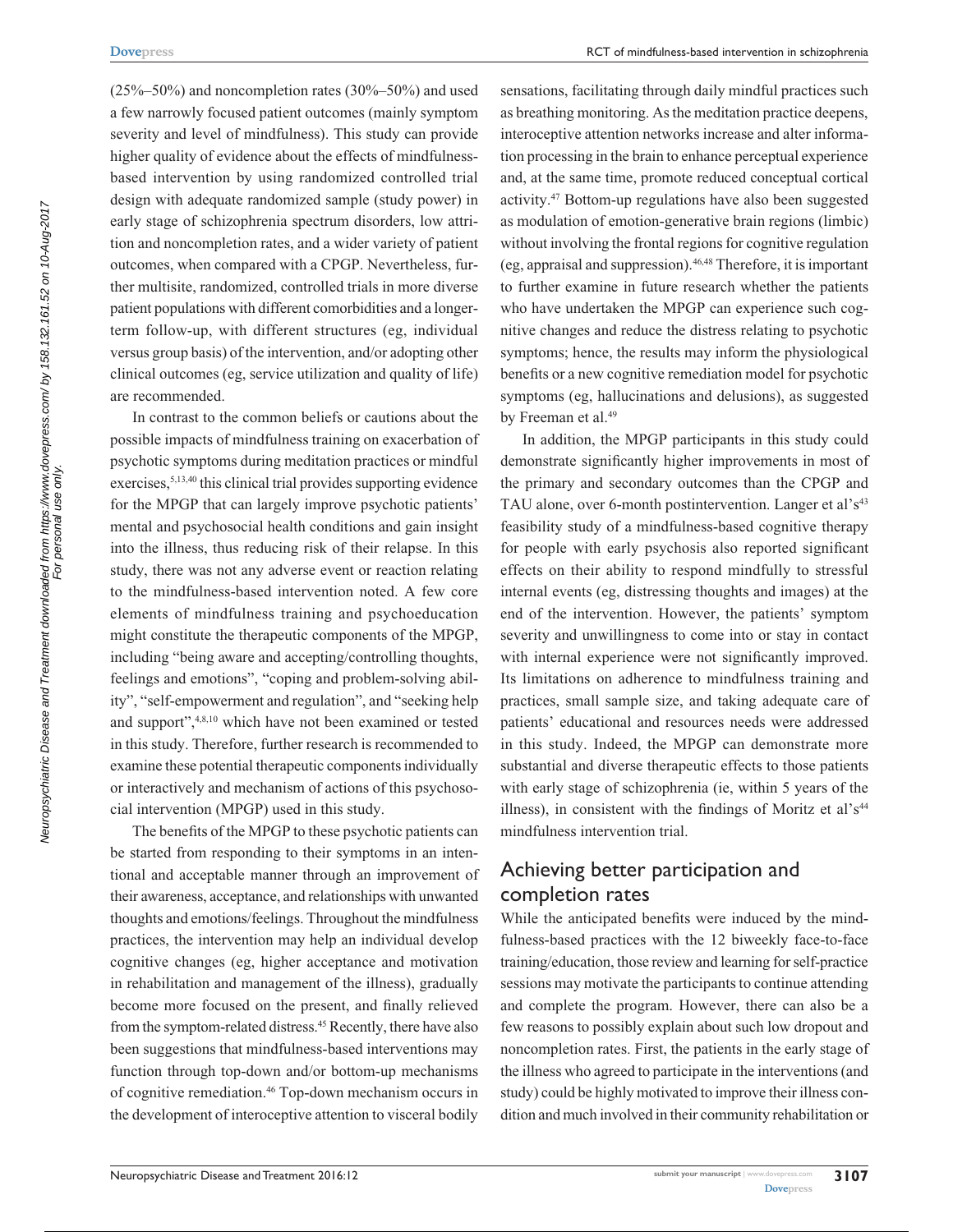$(25\% - 50\%)$  and noncompletion rates  $(30\% - 50\%)$  and used a few narrowly focused patient outcomes (mainly symptom severity and level of mindfulness). This study can provide higher quality of evidence about the effects of mindfulnessbased intervention by using randomized controlled trial design with adequate randomized sample (study power) in early stage of schizophrenia spectrum disorders, low attrition and noncompletion rates, and a wider variety of patient outcomes, when compared with a CPGP. Nevertheless, further multisite, randomized, controlled trials in more diverse patient populations with different comorbidities and a longerterm follow-up, with different structures (eg, individual versus group basis) of the intervention, and/or adopting other clinical outcomes (eg, service utilization and quality of life) are recommended.

In contrast to the common beliefs or cautions about the possible impacts of mindfulness training on exacerbation of psychotic symptoms during meditation practices or mindful exercises,<sup>5,13,40</sup> this clinical trial provides supporting evidence for the MPGP that can largely improve psychotic patients' mental and psychosocial health conditions and gain insight into the illness, thus reducing risk of their relapse. In this study, there was not any adverse event or reaction relating to the mindfulness-based intervention noted. A few core elements of mindfulness training and psychoeducation might constitute the therapeutic components of the MPGP, including "being aware and accepting/controlling thoughts, feelings and emotions", "coping and problem-solving ability", "self-empowerment and regulation", and "seeking help and support",4,8,10 which have not been examined or tested in this study. Therefore, further research is recommended to examine these potential therapeutic components individually or interactively and mechanism of actions of this psychosocial intervention (MPGP) used in this study.

The benefits of the MPGP to these psychotic patients can be started from responding to their symptoms in an intentional and acceptable manner through an improvement of their awareness, acceptance, and relationships with unwanted thoughts and emotions/feelings. Throughout the mindfulness practices, the intervention may help an individual develop cognitive changes (eg, higher acceptance and motivation in rehabilitation and management of the illness), gradually become more focused on the present, and finally relieved from the symptom-related distress.<sup>45</sup> Recently, there have also been suggestions that mindfulness-based interventions may function through top-down and/or bottom-up mechanisms of cognitive remediation.46 Top-down mechanism occurs in the development of interoceptive attention to visceral bodily

sensations, facilitating through daily mindful practices such as breathing monitoring. As the meditation practice deepens, interoceptive attention networks increase and alter information processing in the brain to enhance perceptual experience and, at the same time, promote reduced conceptual cortical activity.47 Bottom-up regulations have also been suggested as modulation of emotion-generative brain regions (limbic) without involving the frontal regions for cognitive regulation (eg, appraisal and suppression).46,48 Therefore, it is important to further examine in future research whether the patients who have undertaken the MPGP can experience such cognitive changes and reduce the distress relating to psychotic symptoms; hence, the results may inform the physiological benefits or a new cognitive remediation model for psychotic symptoms (eg, hallucinations and delusions), as suggested by Freeman et al.<sup>49</sup>

In addition, the MPGP participants in this study could demonstrate significantly higher improvements in most of the primary and secondary outcomes than the CPGP and TAU alone, over 6-month postintervention. Langer et al's<sup>43</sup> feasibility study of a mindfulness-based cognitive therapy for people with early psychosis also reported significant effects on their ability to respond mindfully to stressful internal events (eg, distressing thoughts and images) at the end of the intervention. However, the patients' symptom severity and unwillingness to come into or stay in contact with internal experience were not significantly improved. Its limitations on adherence to mindfulness training and practices, small sample size, and taking adequate care of patients' educational and resources needs were addressed in this study. Indeed, the MPGP can demonstrate more substantial and diverse therapeutic effects to those patients with early stage of schizophrenia (ie, within 5 years of the illness), in consistent with the findings of Moritz et al' $s<sup>44</sup>$ mindfulness intervention trial.

# Achieving better participation and completion rates

While the anticipated benefits were induced by the mindfulness-based practices with the 12 biweekly face-to-face training/education, those review and learning for self-practice sessions may motivate the participants to continue attending and complete the program. However, there can also be a few reasons to possibly explain about such low dropout and noncompletion rates. First, the patients in the early stage of the illness who agreed to participate in the interventions (and study) could be highly motivated to improve their illness condition and much involved in their community rehabilitation or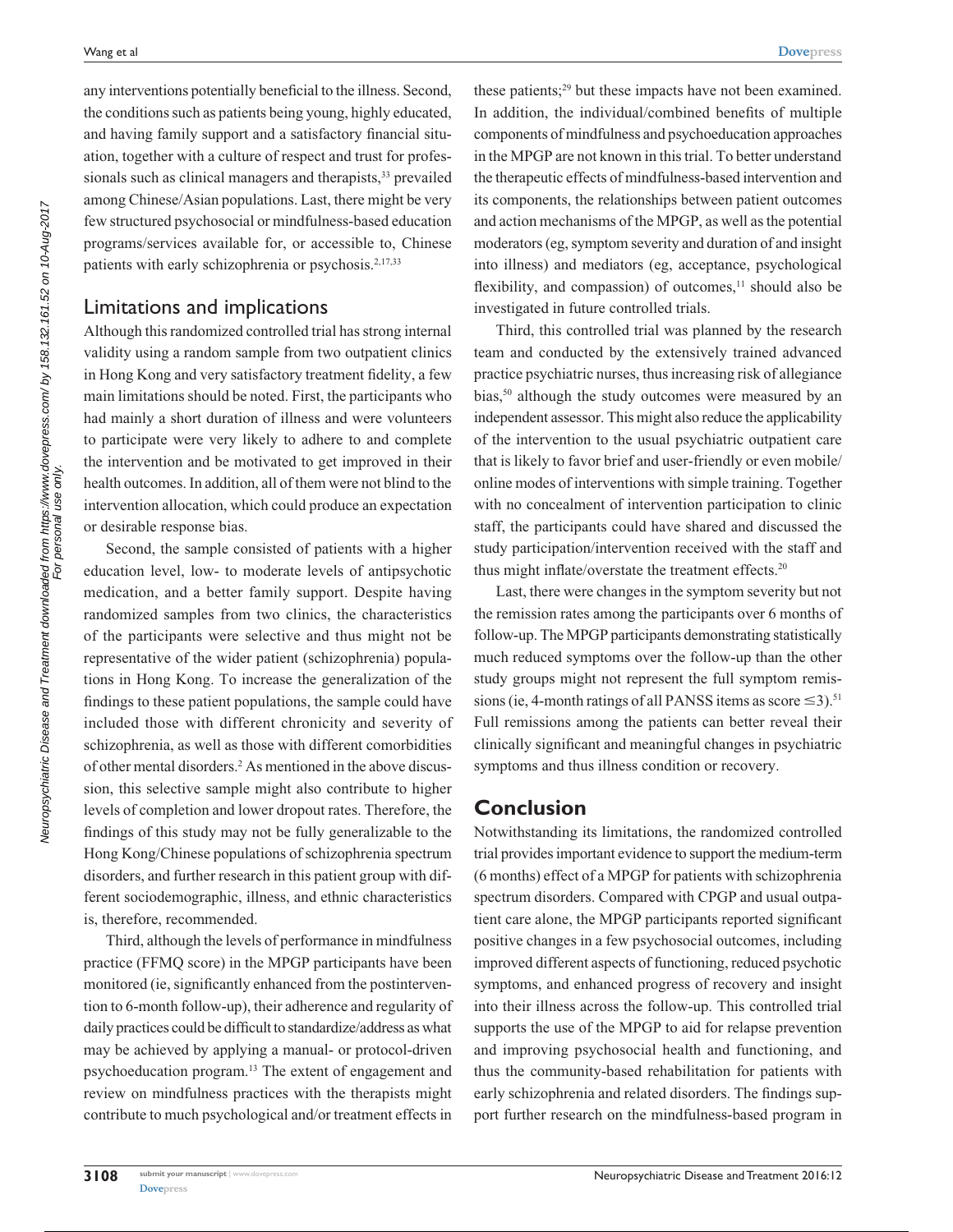any interventions potentially beneficial to the illness. Second, the conditions such as patients being young, highly educated, and having family support and a satisfactory financial situation, together with a culture of respect and trust for professionals such as clinical managers and therapists,<sup>33</sup> prevailed among Chinese/Asian populations. Last, there might be very few structured psychosocial or mindfulness-based education programs/services available for, or accessible to, Chinese patients with early schizophrenia or psychosis.<sup>2,17,33</sup>

## Limitations and implications

Although this randomized controlled trial has strong internal validity using a random sample from two outpatient clinics in Hong Kong and very satisfactory treatment fidelity, a few main limitations should be noted. First, the participants who had mainly a short duration of illness and were volunteers to participate were very likely to adhere to and complete the intervention and be motivated to get improved in their health outcomes. In addition, all of them were not blind to the intervention allocation, which could produce an expectation or desirable response bias.

Second, the sample consisted of patients with a higher education level, low- to moderate levels of antipsychotic medication, and a better family support. Despite having randomized samples from two clinics, the characteristics of the participants were selective and thus might not be representative of the wider patient (schizophrenia) populations in Hong Kong. To increase the generalization of the findings to these patient populations, the sample could have included those with different chronicity and severity of schizophrenia, as well as those with different comorbidities of other mental disorders.<sup>2</sup> As mentioned in the above discussion, this selective sample might also contribute to higher levels of completion and lower dropout rates. Therefore, the findings of this study may not be fully generalizable to the Hong Kong/Chinese populations of schizophrenia spectrum disorders, and further research in this patient group with different sociodemographic, illness, and ethnic characteristics is, therefore, recommended.

Third, although the levels of performance in mindfulness practice (FFMQ score) in the MPGP participants have been monitored (ie, significantly enhanced from the postintervention to 6-month follow-up), their adherence and regularity of daily practices could be difficult to standardize/address as what may be achieved by applying a manual- or protocol-driven psychoeducation program.13 The extent of engagement and review on mindfulness practices with the therapists might contribute to much psychological and/or treatment effects in

these patients;<sup>29</sup> but these impacts have not been examined. In addition, the individual/combined benefits of multiple components of mindfulness and psychoeducation approaches in the MPGP are not known in this trial. To better understand the therapeutic effects of mindfulness-based intervention and its components, the relationships between patient outcomes and action mechanisms of the MPGP, as well as the potential moderators (eg, symptom severity and duration of and insight into illness) and mediators (eg, acceptance, psychological flexibility, and compassion) of outcomes, $<sup>11</sup>$  should also be</sup> investigated in future controlled trials.

Third, this controlled trial was planned by the research team and conducted by the extensively trained advanced practice psychiatric nurses, thus increasing risk of allegiance bias,<sup>50</sup> although the study outcomes were measured by an independent assessor. This might also reduce the applicability of the intervention to the usual psychiatric outpatient care that is likely to favor brief and user-friendly or even mobile/ online modes of interventions with simple training. Together with no concealment of intervention participation to clinic staff, the participants could have shared and discussed the study participation/intervention received with the staff and thus might inflate/overstate the treatment effects.<sup>20</sup>

Last, there were changes in the symptom severity but not the remission rates among the participants over 6 months of follow-up. The MPGP participants demonstrating statistically much reduced symptoms over the follow-up than the other study groups might not represent the full symptom remissions (ie, 4-month ratings of all PANSS items as score  $\leq$ 3).<sup>51</sup> Full remissions among the patients can better reveal their clinically significant and meaningful changes in psychiatric symptoms and thus illness condition or recovery.

# **Conclusion**

Notwithstanding its limitations, the randomized controlled trial provides important evidence to support the medium-term (6 months) effect of a MPGP for patients with schizophrenia spectrum disorders. Compared with CPGP and usual outpatient care alone, the MPGP participants reported significant positive changes in a few psychosocial outcomes, including improved different aspects of functioning, reduced psychotic symptoms, and enhanced progress of recovery and insight into their illness across the follow-up. This controlled trial supports the use of the MPGP to aid for relapse prevention and improving psychosocial health and functioning, and thus the community-based rehabilitation for patients with early schizophrenia and related disorders. The findings support further research on the mindfulness-based program in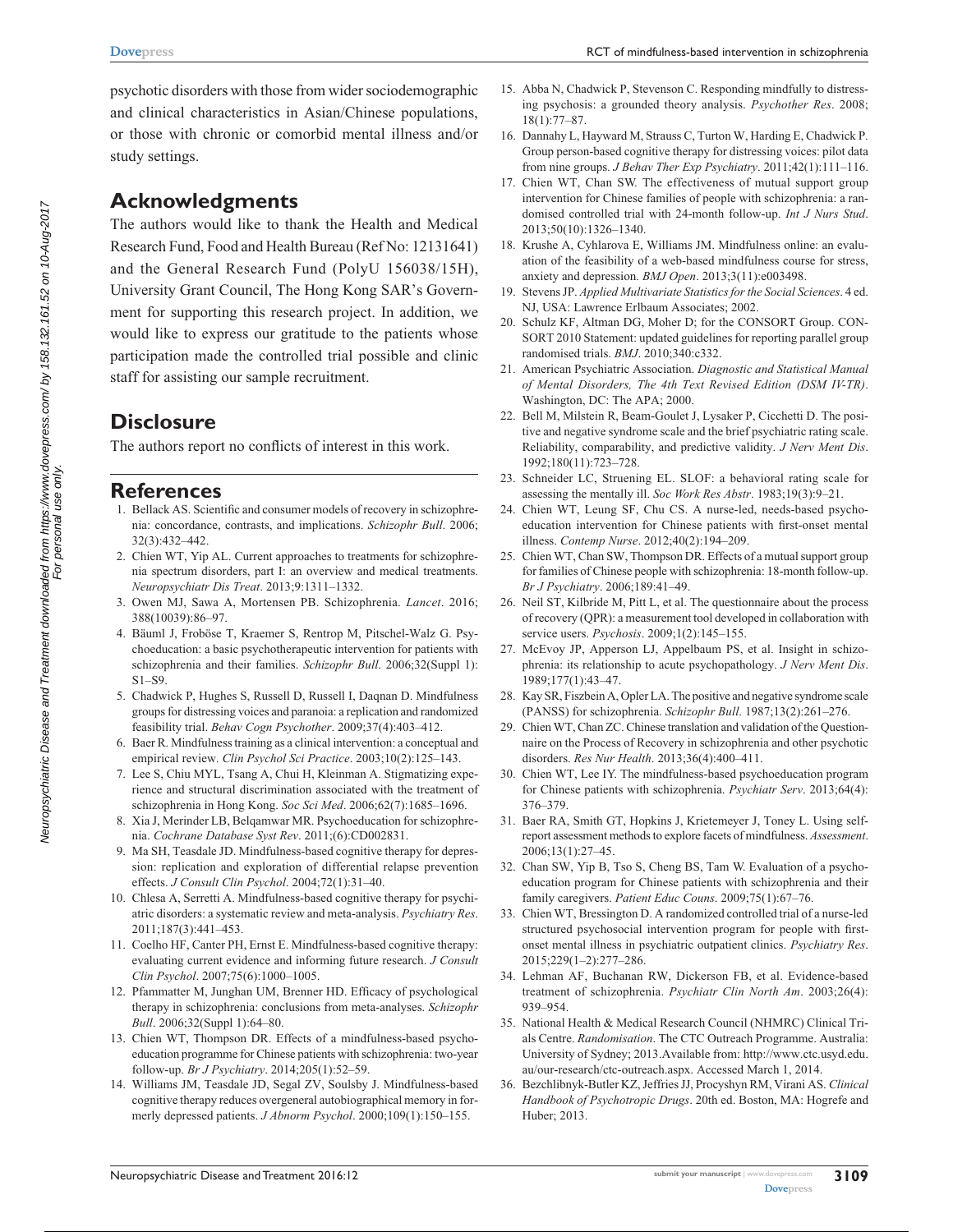psychotic disorders with those from wider sociodemographic and clinical characteristics in Asian/Chinese populations, or those with chronic or comorbid mental illness and/or study settings.

## **Acknowledgments**

The authors would like to thank the Health and Medical Research Fund, Food and Health Bureau (Ref No: 12131641) and the General Research Fund (PolyU 156038/15H), University Grant Council, The Hong Kong SAR's Government for supporting this research project. In addition, we would like to express our gratitude to the patients whose participation made the controlled trial possible and clinic staff for assisting our sample recruitment.

# **Disclosure**

The authors report no conflicts of interest in this work.

### **References**

- 1. Bellack AS. Scientific and consumer models of recovery in schizophrenia: concordance, contrasts, and implications. *Schizophr Bull*. 2006; 32(3):432–442.
- 2. Chien WT, Yip AL. Current approaches to treatments for schizophrenia spectrum disorders, part I: an overview and medical treatments. *Neuropsychiatr Dis Treat*. 2013;9:1311–1332.
- 3. Owen MJ, Sawa A, Mortensen PB. Schizophrenia. *Lancet*. 2016; 388(10039):86–97.
- 4. Bäuml J, Froböse T, Kraemer S, Rentrop M, Pitschel-Walz G. Psychoeducation: a basic psychotherapeutic intervention for patients with schizophrenia and their families. *Schizophr Bull*. 2006;32(Suppl 1): S1–S9.
- 5. Chadwick P, Hughes S, Russell D, Russell I, Daqnan D. Mindfulness groups for distressing voices and paranoia: a replication and randomized feasibility trial. *Behav Cogn Psychother*. 2009;37(4):403–412.
- 6. Baer R. Mindfulness training as a clinical intervention: a conceptual and empirical review. *Clin Psychol Sci Practice*. 2003;10(2):125–143.
- 7. Lee S, Chiu MYL, Tsang A, Chui H, Kleinman A. Stigmatizing experience and structural discrimination associated with the treatment of schizophrenia in Hong Kong. *Soc Sci Med*. 2006;62(7):1685–1696.
- 8. Xia J, Merinder LB, Belqamwar MR. Psychoeducation for schizophrenia. *Cochrane Database Syst Rev*. 2011;(6):CD002831.
- 9. Ma SH, Teasdale JD. Mindfulness-based cognitive therapy for depression: replication and exploration of differential relapse prevention effects. *J Consult Clin Psychol*. 2004;72(1):31–40.
- 10. Chlesa A, Serretti A. Mindfulness-based cognitive therapy for psychiatric disorders: a systematic review and meta-analysis. *Psychiatry Res*. 2011;187(3):441–453.
- 11. Coelho HF, Canter PH, Ernst E. Mindfulness-based cognitive therapy: evaluating current evidence and informing future research. *J Consult Clin Psychol*. 2007;75(6):1000–1005.
- 12. Pfammatter M, Junghan UM, Brenner HD. Efficacy of psychological therapy in schizophrenia: conclusions from meta-analyses. *Schizophr Bull*. 2006;32(Suppl 1):64–80.
- 13. Chien WT, Thompson DR. Effects of a mindfulness-based psychoeducation programme for Chinese patients with schizophrenia: two-year follow-up. *Br J Psychiatry*. 2014;205(1):52–59.
- 14. Williams JM, Teasdale JD, Segal ZV, Soulsby J. Mindfulness-based cognitive therapy reduces overgeneral autobiographical memory in formerly depressed patients. *J Abnorm Psychol*. 2000;109(1):150–155.
- 15. Abba N, Chadwick P, Stevenson C. Responding mindfully to distressing psychosis: a grounded theory analysis. *Psychother Res*. 2008; 18(1):77–87.
- 16. Dannahy L, Hayward M, Strauss C, Turton W, Harding E, Chadwick P. Group person-based cognitive therapy for distressing voices: pilot data from nine groups. *J Behav Ther Exp Psychiatry*. 2011;42(1):111–116.
- 17. Chien WT, Chan SW. The effectiveness of mutual support group intervention for Chinese families of people with schizophrenia: a randomised controlled trial with 24-month follow-up. *Int J Nurs Stud*. 2013;50(10):1326–1340.
- 18. Krushe A, Cyhlarova E, Williams JM. Mindfulness online: an evaluation of the feasibility of a web-based mindfulness course for stress, anxiety and depression. *BMJ Open*. 2013;3(11):e003498.
- 19. Stevens JP. *Applied Multivariate Statistics for the Social Sciences*. 4 ed. NJ, USA: Lawrence Erlbaum Associates; 2002.
- 20. Schulz KF, Altman DG, Moher D; for the CONSORT Group. CON-SORT 2010 Statement: updated guidelines for reporting parallel group randomised trials. *BMJ*. 2010;340:c332.
- 21. American Psychiatric Association. *Diagnostic and Statistical Manual of Mental Disorders, The 4th Text Revised Edition (DSM IV-TR)*. Washington, DC: The APA; 2000.
- 22. Bell M, Milstein R, Beam-Goulet J, Lysaker P, Cicchetti D. The positive and negative syndrome scale and the brief psychiatric rating scale. Reliability, comparability, and predictive validity. *J Nerv Ment Dis*. 1992;180(11):723–728.
- 23. Schneider LC, Struening EL. SLOF: a behavioral rating scale for assessing the mentally ill. *Soc Work Res Abstr*. 1983;19(3):9–21.
- 24. Chien WT, Leung SF, Chu CS. A nurse-led, needs-based psychoeducation intervention for Chinese patients with first-onset mental illness. *Contemp Nurse*. 2012;40(2):194–209.
- 25. Chien WT, Chan SW, Thompson DR. Effects of a mutual support group for families of Chinese people with schizophrenia: 18-month follow-up. *Br J Psychiatry*. 2006;189:41–49.
- 26. Neil ST, Kilbride M, Pitt L, et al. The questionnaire about the process of recovery (QPR): a measurement tool developed in collaboration with service users. *Psychosis*. 2009;1(2):145–155.
- 27. McEvoy JP, Apperson LJ, Appelbaum PS, et al. Insight in schizophrenia: its relationship to acute psychopathology. *J Nerv Ment Dis*. 1989;177(1):43–47.
- 28. Kay SR, Fiszbein A, Opler LA. The positive and negative syndrome scale (PANSS) for schizophrenia. *Schizophr Bull*. 1987;13(2):261–276.
- 29. Chien WT, Chan ZC. Chinese translation and validation of the Questionnaire on the Process of Recovery in schizophrenia and other psychotic disorders. *Res Nur Health*. 2013;36(4):400–411.
- 30. Chien WT, Lee IY. The mindfulness-based psychoeducation program for Chinese patients with schizophrenia. *Psychiatr Serv*. 2013;64(4): 376–379.
- 31. Baer RA, Smith GT, Hopkins J, Krietemeyer J, Toney L. Using selfreport assessment methods to explore facets of mindfulness. *Assessment*. 2006;13(1):27–45.
- 32. Chan SW, Yip B, Tso S, Cheng BS, Tam W. Evaluation of a psychoeducation program for Chinese patients with schizophrenia and their family caregivers. *Patient Educ Couns*. 2009;75(1):67–76.
- 33. Chien WT, Bressington D. A randomized controlled trial of a nurse-led structured psychosocial intervention program for people with firstonset mental illness in psychiatric outpatient clinics. *Psychiatry Res*. 2015;229(1–2):277–286.
- 34. Lehman AF, Buchanan RW, Dickerson FB, et al. Evidence-based treatment of schizophrenia. *Psychiatr Clin North Am*. 2003;26(4): 939–954.
- 35. National Health & Medical Research Council (NHMRC) Clinical Trials Centre. *Randomisation*. The CTC Outreach Programme. Australia: University of Sydney; 2013.Available from: [http://www.ctc.usyd.edu.](http://www.ctc.usyd.edu.au/our-research/ctc-outreach.aspx) [au/our-research/ctc-outreach.aspx.](http://www.ctc.usyd.edu.au/our-research/ctc-outreach.aspx) Accessed March 1, 2014.
- 36. Bezchlibnyk-Butler KZ, Jeffries JJ, Procyshyn RM, Virani AS. *Clinical Handbook of Psychotropic Drugs*. 20th ed. Boston, MA: Hogrefe and Huber; 2013.